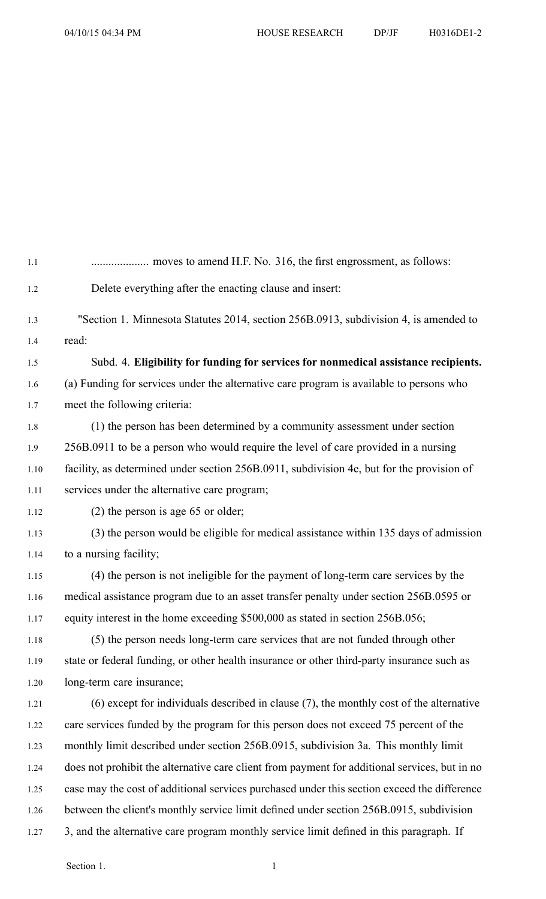| 1.1  |                                                                                               |
|------|-----------------------------------------------------------------------------------------------|
| 1.2  | Delete everything after the enacting clause and insert:                                       |
| 1.3  | "Section 1. Minnesota Statutes 2014, section 256B.0913, subdivision 4, is amended to          |
| 1.4  | read:                                                                                         |
| 1.5  | Subd. 4. Eligibility for funding for services for nonmedical assistance recipients.           |
| 1.6  | (a) Funding for services under the alternative care program is available to persons who       |
| 1.7  | meet the following criteria:                                                                  |
| 1.8  | (1) the person has been determined by a community assessment under section                    |
| 1.9  | 256B.0911 to be a person who would require the level of care provided in a nursing            |
| 1.10 | facility, as determined under section 256B.0911, subdivision 4e, but for the provision of     |
| 1.11 | services under the alternative care program;                                                  |
| 1.12 | $(2)$ the person is age 65 or older;                                                          |
| 1.13 | (3) the person would be eligible for medical assistance within 135 days of admission          |
| 1.14 | to a nursing facility;                                                                        |
| 1.15 | (4) the person is not ineligible for the payment of long-term care services by the            |
| 1.16 | medical assistance program due to an asset transfer penalty under section 256B.0595 or        |
| 1.17 | equity interest in the home exceeding \$500,000 as stated in section 256B.056;                |
| 1.18 | (5) the person needs long-term care services that are not funded through other                |
| 1.19 | state or federal funding, or other health insurance or other third-party insurance such as    |
| 1.20 | long-term care insurance;                                                                     |
| 1.21 | $(6)$ except for individuals described in clause $(7)$ , the monthly cost of the alternative  |
| 1.22 | care services funded by the program for this person does not exceed 75 percent of the         |
| 1.23 | monthly limit described under section 256B.0915, subdivision 3a. This monthly limit           |
| 1.24 | does not prohibit the alternative care client from payment for additional services, but in no |
| 1.25 | case may the cost of additional services purchased under this section exceed the difference   |
| 1.26 | between the client's monthly service limit defined under section 256B.0915, subdivision       |
| 1.27 | 3, and the alternative care program monthly service limit defined in this paragraph. If       |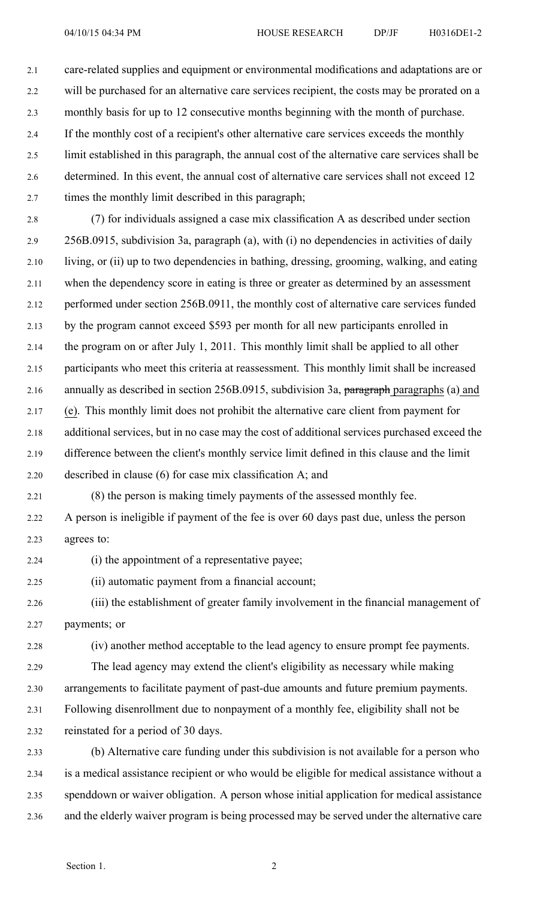2.1 care-related supplies and equipment or environmental modifications and adaptations are or 2.2 will be purchased for an alternative care services recipient, the costs may be prorated on <sup>a</sup> 2.3 monthly basis for up to 12 consecutive months beginning with the month of purchase. 2.4 If the monthly cost of <sup>a</sup> recipient's other alternative care services exceeds the monthly 2.5 limit established in this paragraph, the annual cost of the alternative care services shall be 2.6 determined. In this event, the annual cost of alternative care services shall not exceed 12 2.7 times the monthly limit described in this paragraph;

2.8 (7) for individuals assigned <sup>a</sup> case mix classification A as described under section 2.9 256B.0915, subdivision 3a, paragraph (a), with (i) no dependencies in activities of daily 2.10 living, or (ii) up to two dependencies in bathing, dressing, grooming, walking, and eating 2.11 when the dependency score in eating is three or greater as determined by an assessment 2.12 performed under section 256B.0911, the monthly cost of alternative care services funded 2.13 by the program cannot exceed \$593 per month for all new participants enrolled in 2.14 the program on or after July 1, 2011. This monthly limit shall be applied to all other 2.15 participants who meet this criteria at reassessment. This monthly limit shall be increased 2.16 annually as described in section 256B.0915, subdivision 3a, paragraph paragraphs (a) and 2.17 (e). This monthly limit does not prohibit the alternative care client from paymen<sup>t</sup> for 2.18 additional services, but in no case may the cost of additional services purchased exceed the 2.19 difference between the client's monthly service limit defined in this clause and the limit 2.20 described in clause (6) for case mix classification A; and

2.21 (8) the person is making timely payments of the assessed monthly fee.

2.22 A person is ineligible if paymen<sup>t</sup> of the fee is over 60 days pas<sup>t</sup> due, unless the person 2.23 agrees to:

2.24 (i) the appointment of <sup>a</sup> representative payee;

2.25 (ii) automatic paymen<sup>t</sup> from <sup>a</sup> financial account;

2.26 (iii) the establishment of greater family involvement in the financial managemen<sup>t</sup> of 2.27 payments; or

2.28 (iv) another method acceptable to the lead agency to ensure promp<sup>t</sup> fee payments.

2.29 The lead agency may extend the client's eligibility as necessary while making 2.30 arrangements to facilitate paymen<sup>t</sup> of past-due amounts and future premium payments.

2.31 Following disenrollment due to nonpaymen<sup>t</sup> of <sup>a</sup> monthly fee, eligibility shall not be

2.32 reinstated for <sup>a</sup> period of 30 days.

2.33 (b) Alternative care funding under this subdivision is not available for <sup>a</sup> person who 2.34 is <sup>a</sup> medical assistance recipient or who would be eligible for medical assistance without <sup>a</sup> 2.35 spenddown or waiver obligation. A person whose initial application for medical assistance 2.36 and the elderly waiver program is being processed may be served under the alternative care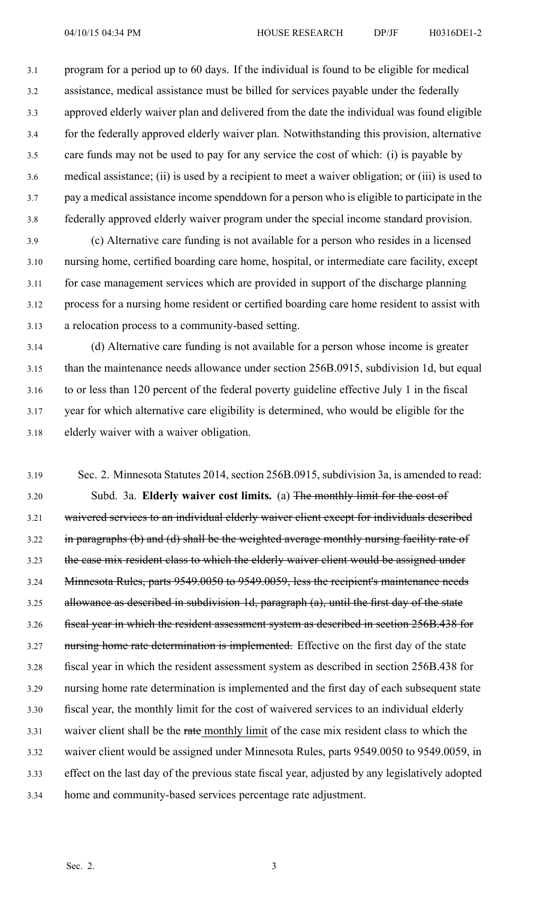3.1 program for <sup>a</sup> period up to 60 days. If the individual is found to be eligible for medical 3.2 assistance, medical assistance must be billed for services payable under the federally 3.3 approved elderly waiver plan and delivered from the date the individual was found eligible 3.4 for the federally approved elderly waiver plan. Notwithstanding this provision, alternative 3.5 care funds may not be used to pay for any service the cost of which: (i) is payable by 3.6 medical assistance; (ii) is used by <sup>a</sup> recipient to meet <sup>a</sup> waiver obligation; or (iii) is used to 3.7 pay <sup>a</sup> medical assistance income spenddown for <sup>a</sup> person who is eligible to participate in the 3.8 federally approved elderly waiver program under the special income standard provision.

3.9 (c) Alternative care funding is not available for <sup>a</sup> person who resides in <sup>a</sup> licensed 3.10 nursing home, certified boarding care home, hospital, or intermediate care facility, excep<sup>t</sup> 3.11 for case managemen<sup>t</sup> services which are provided in suppor<sup>t</sup> of the discharge planning 3.12 process for <sup>a</sup> nursing home resident or certified boarding care home resident to assist with 3.13 <sup>a</sup> relocation process to <sup>a</sup> community-based setting.

3.14 (d) Alternative care funding is not available for <sup>a</sup> person whose income is greater 3.15 than the maintenance needs allowance under section 256B.0915, subdivision 1d, but equal 3.16 to or less than 120 percen<sup>t</sup> of the federal poverty guideline effective July 1 in the fiscal 3.17 year for which alternative care eligibility is determined, who would be eligible for the 3.18 elderly waiver with <sup>a</sup> waiver obligation.

3.19 Sec. 2. Minnesota Statutes 2014, section 256B.0915, subdivision 3a, is amended to read: 3.20 Subd. 3a. **Elderly waiver cost limits.** (a) The monthly limit for the cost of 3.21 waivered services to an individual elderly waiver client excep<sup>t</sup> for individuals described 3.22 in paragraphs (b) and (d) shall be the weighted average monthly nursing facility rate of 3.23 the case mix resident class to which the elderly waiver client would be assigned under 3.24 Minnesota Rules, parts 9549.0050 to 9549.0059, less the recipient's maintenance needs 3.25 allowance as described in subdivision 1d, paragraph (a), until the first day of the state 3.26 fiscal year in which the resident assessment system as described in section 256B.438 for 3.27 nursing home rate determination is implemented. Effective on the first day of the state 3.28 fiscal year in which the resident assessment system as described in section 256B.438 for 3.29 nursing home rate determination is implemented and the first day of each subsequent state 3.30 fiscal year, the monthly limit for the cost of waivered services to an individual elderly 3.31 waiver client shall be the rate monthly limit of the case mix resident class to which the 3.32 waiver client would be assigned under Minnesota Rules, parts 9549.0050 to 9549.0059, in 3.33 effect on the last day of the previous state fiscal year, adjusted by any legislatively adopted 3.34 home and community-based services percentage rate adjustment.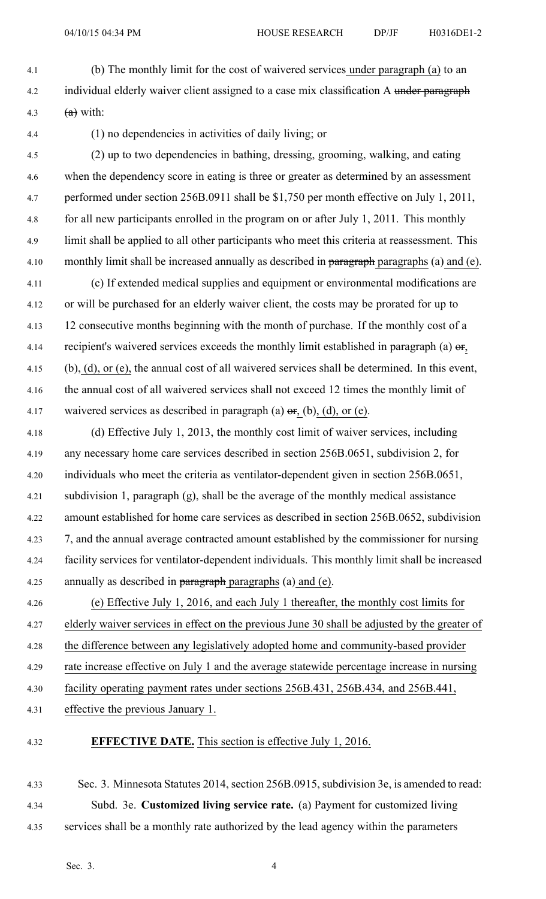- 4.1 (b) The monthly limit for the cost of waivered services under paragraph (a) to an 4.2 individual elderly waiver client assigned to a case mix classification A under paragraph 4.3  $(a)$  with:
- 

4.4 (1) no dependencies in activities of daily living; or

- 4.5 (2) up to two dependencies in bathing, dressing, grooming, walking, and eating 4.6 when the dependency score in eating is three or greater as determined by an assessment 4.7 performed under section 256B.0911 shall be \$1,750 per month effective on July 1, 2011, 4.8 for all new participants enrolled in the program on or after July 1, 2011. This monthly 4.9 limit shall be applied to all other participants who meet this criteria at reassessment. This 4.10 monthly limit shall be increased annually as described in paragraph paragraphs (a) and (e).
- 4.11 (c) If extended medical supplies and equipment or environmental modifications are 4.12 or will be purchased for an elderly waiver client, the costs may be prorated for up to 4.13 12 consecutive months beginning with the month of purchase. If the monthly cost of <sup>a</sup> 4.14 recipient's waivered services exceeds the monthly limit established in paragraph (a)  $\sigma$ r, 4.15 (b), (d), or (e), the annual cost of all waivered services shall be determined. In this event, 4.16 the annual cost of all waivered services shall not exceed 12 times the monthly limit of 4.17 waivered services as described in paragraph (a)  $\sigma$ r, (b), (d), or (e).
- 4.18 (d) Effective July 1, 2013, the monthly cost limit of waiver services, including 4.19 any necessary home care services described in section 256B.0651, subdivision 2, for 4.20 individuals who meet the criteria as ventilator-dependent given in section 256B.0651, 4.21 subdivision 1, paragraph (g), shall be the average of the monthly medical assistance 4.22 amount established for home care services as described in section 256B.0652, subdivision 4.23 7, and the annual average contracted amount established by the commissioner for nursing 4.24 facility services for ventilator-dependent individuals. This monthly limit shall be increased 4.25 annually as described in paragraph paragraphs (a) and (e).
- 4.26 (e) Effective July 1, 2016, and each July 1 thereafter, the monthly cost limits for 4.27 elderly waiver services in effect on the previous June 30 shall be adjusted by the greater of 4.28 the difference between any legislatively adopted home and community-based provider 4.29 rate increase effective on July 1 and the average statewide percentage increase in nursing 4.30 facility operating paymen<sup>t</sup> rates under sections 256B.431, 256B.434, and 256B.441,
- 4.31 effective the previous January 1.

# 4.32 **EFFECTIVE DATE.** This section is effective July 1, 2016.

4.33 Sec. 3. Minnesota Statutes 2014, section 256B.0915, subdivision 3e, is amended to read: 4.34 Subd. 3e. **Customized living service rate.** (a) Payment for customized living 4.35 services shall be <sup>a</sup> monthly rate authorized by the lead agency within the parameters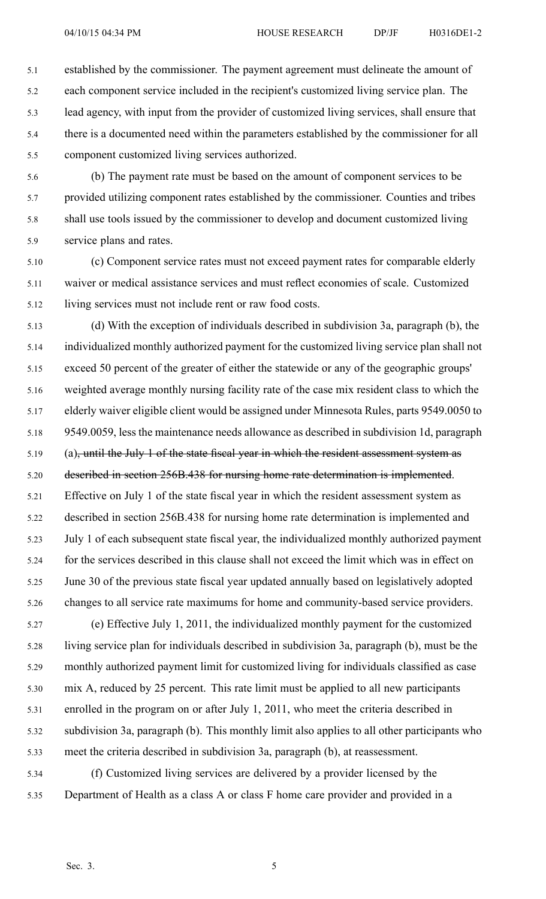5.1 established by the commissioner. The paymen<sup>t</sup> agreemen<sup>t</sup> must delineate the amount of 5.2 each componen<sup>t</sup> service included in the recipient's customized living service plan. The 5.3 lead agency, with input from the provider of customized living services, shall ensure that 5.4 there is <sup>a</sup> documented need within the parameters established by the commissioner for all 5.5 componen<sup>t</sup> customized living services authorized.

5.6 (b) The paymen<sup>t</sup> rate must be based on the amount of componen<sup>t</sup> services to be 5.7 provided utilizing componen<sup>t</sup> rates established by the commissioner. Counties and tribes 5.8 shall use tools issued by the commissioner to develop and document customized living 5.9 service plans and rates.

5.10 (c) Component service rates must not exceed paymen<sup>t</sup> rates for comparable elderly 5.11 waiver or medical assistance services and must reflect economies of scale. Customized 5.12 living services must not include rent or raw food costs.

5.13 (d) With the exception of individuals described in subdivision 3a, paragraph (b), the 5.14 individualized monthly authorized paymen<sup>t</sup> for the customized living service plan shall not 5.15 exceed 50 percen<sup>t</sup> of the greater of either the statewide or any of the geographic groups' 5.16 weighted average monthly nursing facility rate of the case mix resident class to which the 5.17 elderly waiver eligible client would be assigned under Minnesota Rules, parts 9549.0050 to 5.18 9549.0059, less the maintenance needs allowance as described in subdivision 1d, paragraph 5.19 (a), until the July 1 of the state fiscal year in which the resident assessment system as 5.20 described in section 256B.438 for nursing home rate determination is implemented. 5.21 Effective on July 1 of the state fiscal year in which the resident assessment system as 5.22 described in section 256B.438 for nursing home rate determination is implemented and 5.23 July 1 of each subsequent state fiscal year, the individualized monthly authorized paymen<sup>t</sup> 5.24 for the services described in this clause shall not exceed the limit which was in effect on 5.25 June 30 of the previous state fiscal year updated annually based on legislatively adopted 5.26 changes to all service rate maximums for home and community-based service providers.

5.27 (e) Effective July 1, 2011, the individualized monthly paymen<sup>t</sup> for the customized 5.28 living service plan for individuals described in subdivision 3a, paragraph (b), must be the 5.29 monthly authorized paymen<sup>t</sup> limit for customized living for individuals classified as case 5.30 mix A, reduced by 25 percent. This rate limit must be applied to all new participants 5.31 enrolled in the program on or after July 1, 2011, who meet the criteria described in 5.32 subdivision 3a, paragraph (b). This monthly limit also applies to all other participants who 5.33 meet the criteria described in subdivision 3a, paragraph (b), at reassessment.

5.34 (f) Customized living services are delivered by <sup>a</sup> provider licensed by the 5.35 Department of Health as <sup>a</sup> class A or class F home care provider and provided in <sup>a</sup>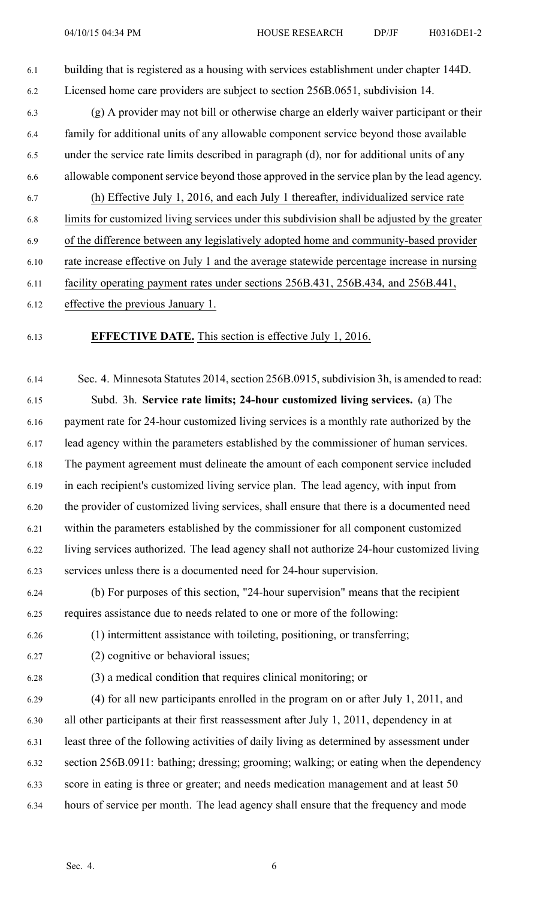6.1 building that is registered as <sup>a</sup> housing with services establishment under chapter 144D. 6.2 Licensed home care providers are subject to section 256B.0651, subdivision 14.

- 6.3 (g) A provider may not bill or otherwise charge an elderly waiver participant or their 6.4 family for additional units of any allowable componen<sup>t</sup> service beyond those available 6.5 under the service rate limits described in paragraph (d), nor for additional units of any 6.6 allowable componen<sup>t</sup> service beyond those approved in the service plan by the lead agency.
- 6.7 (h) Effective July 1, 2016, and each July 1 thereafter, individualized service rate 6.8 limits for customized living services under this subdivision shall be adjusted by the greater 6.9 of the difference between any legislatively adopted home and community-based provider
- 6.10 rate increase effective on July 1 and the average statewide percentage increase in nursing
- 6.11 facility operating paymen<sup>t</sup> rates under sections 256B.431, 256B.434, and 256B.441,
- 6.12 effective the previous January 1.
- 

## 6.13 **EFFECTIVE DATE.** This section is effective July 1, 2016.

6.14 Sec. 4. Minnesota Statutes 2014, section 256B.0915, subdivision 3h, is amended to read: 6.15 Subd. 3h. **Service rate limits; 24-hour customized living services.** (a) The 6.16 paymen<sup>t</sup> rate for 24-hour customized living services is <sup>a</sup> monthly rate authorized by the 6.17 lead agency within the parameters established by the commissioner of human services. 6.18 The paymen<sup>t</sup> agreemen<sup>t</sup> must delineate the amount of each componen<sup>t</sup> service included 6.19 in each recipient's customized living service plan. The lead agency, with input from 6.20 the provider of customized living services, shall ensure that there is <sup>a</sup> documented need 6.21 within the parameters established by the commissioner for all componen<sup>t</sup> customized 6.22 living services authorized. The lead agency shall not authorize 24-hour customized living 6.23 services unless there is <sup>a</sup> documented need for 24-hour supervision.

6.24 (b) For purposes of this section, "24-hour supervision" means that the recipient 6.25 requires assistance due to needs related to one or more of the following:

6.26 (1) intermittent assistance with toileting, positioning, or transferring;

- 6.27 (2) cognitive or behavioral issues;
- 

6.28 (3) <sup>a</sup> medical condition that requires clinical monitoring; or

6.29 (4) for all new participants enrolled in the program on or after July 1, 2011, and 6.30 all other participants at their first reassessment after July 1, 2011, dependency in at 6.31 least three of the following activities of daily living as determined by assessment under 6.32 section 256B.0911: bathing; dressing; grooming; walking; or eating when the dependency 6.33 score in eating is three or greater; and needs medication managemen<sup>t</sup> and at least 50 6.34 hours of service per month. The lead agency shall ensure that the frequency and mode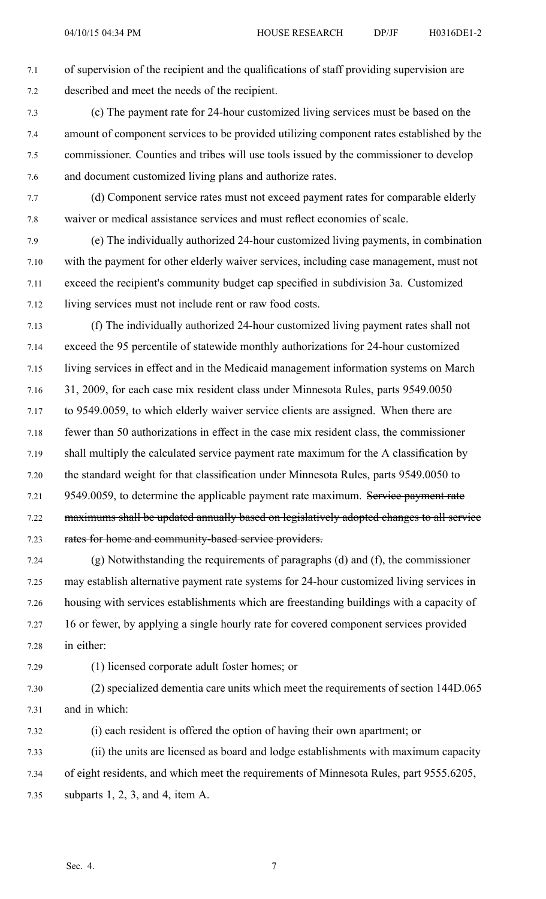7.1 of supervision of the recipient and the qualifications of staff providing supervision are 7.2 described and meet the needs of the recipient.

7.3 (c) The paymen<sup>t</sup> rate for 24-hour customized living services must be based on the 7.4 amount of componen<sup>t</sup> services to be provided utilizing componen<sup>t</sup> rates established by the 7.5 commissioner. Counties and tribes will use tools issued by the commissioner to develop 7.6 and document customized living plans and authorize rates.

7.7 (d) Component service rates must not exceed paymen<sup>t</sup> rates for comparable elderly 7.8 waiver or medical assistance services and must reflect economies of scale.

7.9 (e) The individually authorized 24-hour customized living payments, in combination 7.10 with the paymen<sup>t</sup> for other elderly waiver services, including case management, must not 7.11 exceed the recipient's community budget cap specified in subdivision 3a. Customized 7.12 living services must not include rent or raw food costs.

7.13 (f) The individually authorized 24-hour customized living paymen<sup>t</sup> rates shall not 7.14 exceed the 95 percentile of statewide monthly authorizations for 24-hour customized 7.15 living services in effect and in the Medicaid managemen<sup>t</sup> information systems on March 7.16 31, 2009, for each case mix resident class under Minnesota Rules, parts 9549.0050 7.17 to 9549.0059, to which elderly waiver service clients are assigned. When there are 7.18 fewer than 50 authorizations in effect in the case mix resident class, the commissioner 7.19 shall multiply the calculated service paymen<sup>t</sup> rate maximum for the A classification by 7.20 the standard weight for that classification under Minnesota Rules, parts 9549.0050 to 7.21 9549.0059, to determine the applicable payment rate maximum. Service payment rate 7.22 maximums shall be updated annually based on legislatively adopted changes to all service 7.23 rates for home and community-based service providers.

7.24 (g) Notwithstanding the requirements of paragraphs (d) and (f), the commissioner 7.25 may establish alternative paymen<sup>t</sup> rate systems for 24-hour customized living services in 7.26 housing with services establishments which are freestanding buildings with <sup>a</sup> capacity of 7.27 16 or fewer, by applying <sup>a</sup> single hourly rate for covered componen<sup>t</sup> services provided 7.28 in either:

7.29 (1) licensed corporate adult foster homes; or

7.30 (2) specialized dementia care units which meet the requirements of section 144D.065 7.31 and in which:

7.32 (i) each resident is offered the option of having their own apartment; or 7.33 (ii) the units are licensed as board and lodge establishments with maximum capacity 7.34 of eight residents, and which meet the requirements of Minnesota Rules, par<sup>t</sup> 9555.6205, 7.35 subparts 1, 2, 3, and 4, item A.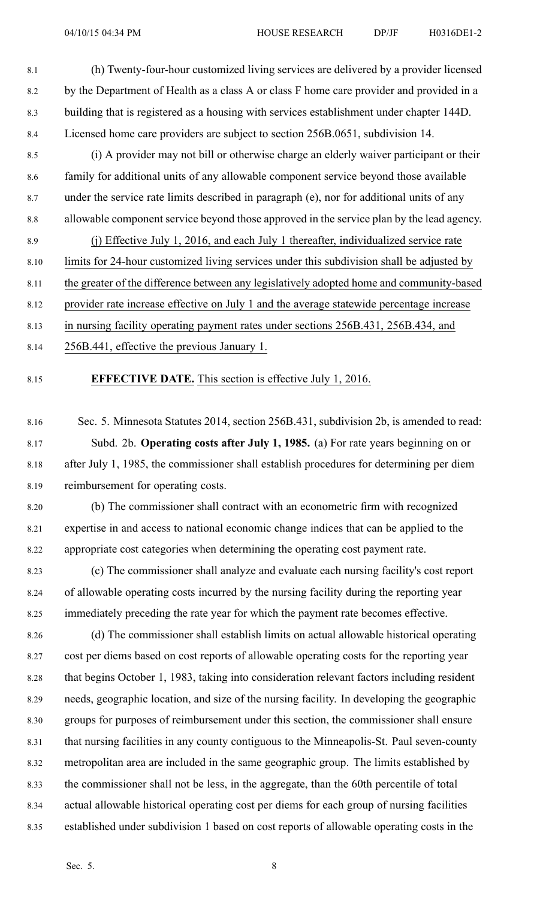- 8.1 (h) Twenty-four-hour customized living services are delivered by <sup>a</sup> provider licensed 8.2 by the Department of Health as a class A or class F home care provider and provided in a 8.3 building that is registered as <sup>a</sup> housing with services establishment under chapter 144D. 8.4 Licensed home care providers are subject to section 256B.0651, subdivision 14.
- 8.5 (i) A provider may not bill or otherwise charge an elderly waiver participant or their 8.6 family for additional units of any allowable componen<sup>t</sup> service beyond those available 8.7 under the service rate limits described in paragraph (e), nor for additional units of any 8.8 allowable componen<sup>t</sup> service beyond those approved in the service plan by the lead agency. 8.9 (j) Effective July 1, 2016, and each July 1 thereafter, individualized service rate
- 8.10 limits for 24-hour customized living services under this subdivision shall be adjusted by
- 8.11 the greater of the difference between any legislatively adopted home and community-based
- 8.12 provider rate increase effective on July 1 and the average statewide percentage increase
- 8.13 in nursing facility operating paymen<sup>t</sup> rates under sections 256B.431, 256B.434, and
- 8.14 256B.441, effective the previous January 1.
- 

### 8.15 **EFFECTIVE DATE.** This section is effective July 1, 2016.

- 8.16 Sec. 5. Minnesota Statutes 2014, section 256B.431, subdivision 2b, is amended to read: 8.17 Subd. 2b. **Operating costs after July 1, 1985.** (a) For rate years beginning on or 8.18 after July 1, 1985, the commissioner shall establish procedures for determining per diem 8.19 reimbursement for operating costs.
- 8.20 (b) The commissioner shall contract with an econometric firm with recognized 8.21 expertise in and access to national economic change indices that can be applied to the 8.22 appropriate cost categories when determining the operating cost paymen<sup>t</sup> rate.
- 8.23 (c) The commissioner shall analyze and evaluate each nursing facility's cost repor<sup>t</sup> 8.24 of allowable operating costs incurred by the nursing facility during the reporting year 8.25 immediately preceding the rate year for which the paymen<sup>t</sup> rate becomes effective.
- 8.26 (d) The commissioner shall establish limits on actual allowable historical operating 8.27 cost per diems based on cost reports of allowable operating costs for the reporting year 8.28 that begins October 1, 1983, taking into consideration relevant factors including resident 8.29 needs, geographic location, and size of the nursing facility. In developing the geographic 8.30 groups for purposes of reimbursement under this section, the commissioner shall ensure 8.31 that nursing facilities in any county contiguous to the Minneapolis-St. Paul seven-county 8.32 metropolitan area are included in the same geographic group. The limits established by 8.33 the commissioner shall not be less, in the aggregate, than the 60th percentile of total 8.34 actual allowable historical operating cost per diems for each group of nursing facilities 8.35 established under subdivision 1 based on cost reports of allowable operating costs in the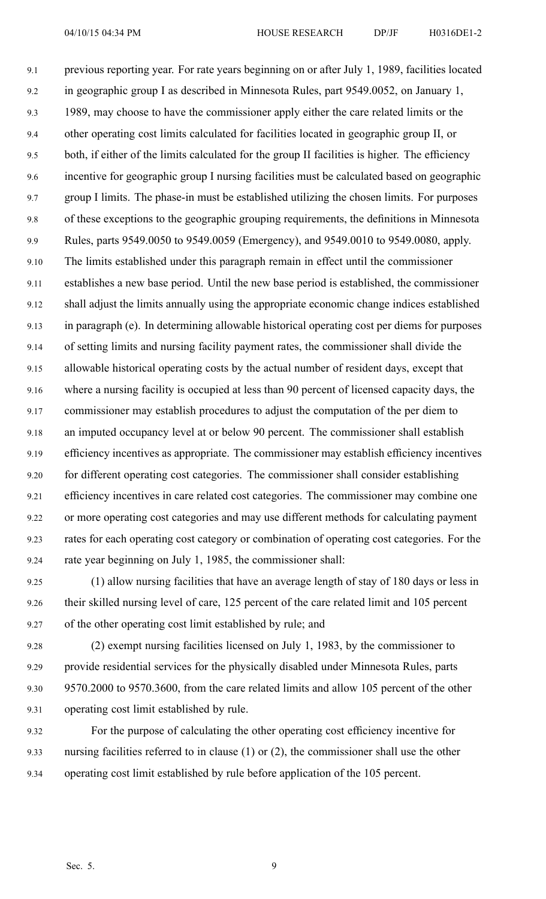9.1 previous reporting year. For rate years beginning on or after July 1, 1989, facilities located 9.2 in geographic group I as described in Minnesota Rules, par<sup>t</sup> 9549.0052, on January 1, 9.3 1989, may choose to have the commissioner apply either the care related limits or the 9.4 other operating cost limits calculated for facilities located in geographic group II, or 9.5 both, if either of the limits calculated for the group II facilities is higher. The efficiency 9.6 incentive for geographic group I nursing facilities must be calculated based on geographic 9.7 group I limits. The phase-in must be established utilizing the chosen limits. For purposes 9.8 of these exceptions to the geographic grouping requirements, the definitions in Minnesota 9.9 Rules, parts 9549.0050 to 9549.0059 (Emergency), and 9549.0010 to 9549.0080, apply. 9.10 The limits established under this paragraph remain in effect until the commissioner 9.11 establishes <sup>a</sup> new base period. Until the new base period is established, the commissioner 9.12 shall adjust the limits annually using the appropriate economic change indices established 9.13 in paragraph (e). In determining allowable historical operating cost per diems for purposes 9.14 of setting limits and nursing facility paymen<sup>t</sup> rates, the commissioner shall divide the 9.15 allowable historical operating costs by the actual number of resident days, excep<sup>t</sup> that 9.16 where <sup>a</sup> nursing facility is occupied at less than 90 percen<sup>t</sup> of licensed capacity days, the 9.17 commissioner may establish procedures to adjust the computation of the per diem to 9.18 an imputed occupancy level at or below 90 percent. The commissioner shall establish 9.19 efficiency incentives as appropriate. The commissioner may establish efficiency incentives 9.20 for different operating cost categories. The commissioner shall consider establishing 9.21 efficiency incentives in care related cost categories. The commissioner may combine one 9.22 or more operating cost categories and may use different methods for calculating paymen<sup>t</sup> 9.23 rates for each operating cost category or combination of operating cost categories. For the 9.24 rate year beginning on July 1, 1985, the commissioner shall:

9.25 (1) allow nursing facilities that have an average length of stay of 180 days or less in 9.26 their skilled nursing level of care, 125 percen<sup>t</sup> of the care related limit and 105 percen<sup>t</sup> 9.27 of the other operating cost limit established by rule; and

9.28 (2) exemp<sup>t</sup> nursing facilities licensed on July 1, 1983, by the commissioner to 9.29 provide residential services for the physically disabled under Minnesota Rules, parts 9.30 9570.2000 to 9570.3600, from the care related limits and allow 105 percen<sup>t</sup> of the other 9.31 operating cost limit established by rule.

9.32 For the purpose of calculating the other operating cost efficiency incentive for 9.33 nursing facilities referred to in clause (1) or (2), the commissioner shall use the other 9.34 operating cost limit established by rule before application of the 105 percent.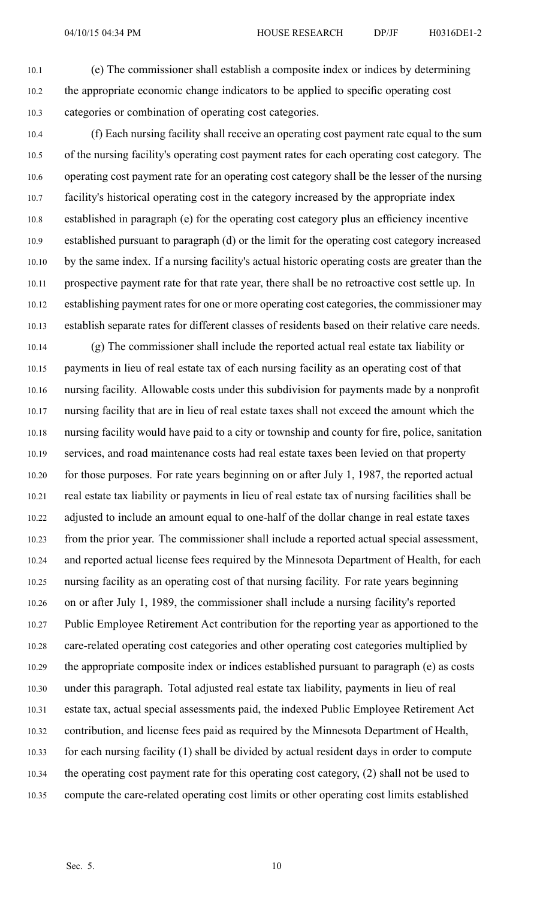10.1 (e) The commissioner shall establish <sup>a</sup> composite index or indices by determining 10.2 the appropriate economic change indicators to be applied to specific operating cost 10.3 categories or combination of operating cost categories.

10.4 (f) Each nursing facility shall receive an operating cost paymen<sup>t</sup> rate equal to the sum 10.5 of the nursing facility's operating cost paymen<sup>t</sup> rates for each operating cost category. The 10.6 operating cost paymen<sup>t</sup> rate for an operating cost category shall be the lesser of the nursing 10.7 facility's historical operating cost in the category increased by the appropriate index 10.8 established in paragraph (e) for the operating cost category plus an efficiency incentive 10.9 established pursuan<sup>t</sup> to paragraph (d) or the limit for the operating cost category increased 10.10 by the same index. If <sup>a</sup> nursing facility's actual historic operating costs are greater than the 10.11 prospective paymen<sup>t</sup> rate for that rate year, there shall be no retroactive cost settle up. In 10.12 establishing payment rates for one or more operating cost categories, the commissioner may 10.13 establish separate rates for different classes of residents based on their relative care needs.

10.14 (g) The commissioner shall include the reported actual real estate tax liability or 10.15 payments in lieu of real estate tax of each nursing facility as an operating cost of that 10.16 nursing facility. Allowable costs under this subdivision for payments made by <sup>a</sup> nonprofit 10.17 nursing facility that are in lieu of real estate taxes shall not exceed the amount which the 10.18 nursing facility would have paid to <sup>a</sup> city or township and county for fire, police, sanitation 10.19 services, and road maintenance costs had real estate taxes been levied on that property 10.20 for those purposes. For rate years beginning on or after July 1, 1987, the reported actual 10.21 real estate tax liability or payments in lieu of real estate tax of nursing facilities shall be 10.22 adjusted to include an amount equal to one-half of the dollar change in real estate taxes 10.23 from the prior year. The commissioner shall include <sup>a</sup> reported actual special assessment, 10.24 and reported actual license fees required by the Minnesota Department of Health, for each 10.25 nursing facility as an operating cost of that nursing facility. For rate years beginning 10.26 on or after July 1, 1989, the commissioner shall include <sup>a</sup> nursing facility's reported 10.27 Public Employee Retirement Act contribution for the reporting year as apportioned to the 10.28 care-related operating cost categories and other operating cost categories multiplied by 10.29 the appropriate composite index or indices established pursuan<sup>t</sup> to paragraph (e) as costs 10.30 under this paragraph. Total adjusted real estate tax liability, payments in lieu of real 10.31 estate tax, actual special assessments paid, the indexed Public Employee Retirement Act 10.32 contribution, and license fees paid as required by the Minnesota Department of Health, 10.33 for each nursing facility (1) shall be divided by actual resident days in order to compute 10.34 the operating cost paymen<sup>t</sup> rate for this operating cost category, (2) shall not be used to 10.35 compute the care-related operating cost limits or other operating cost limits established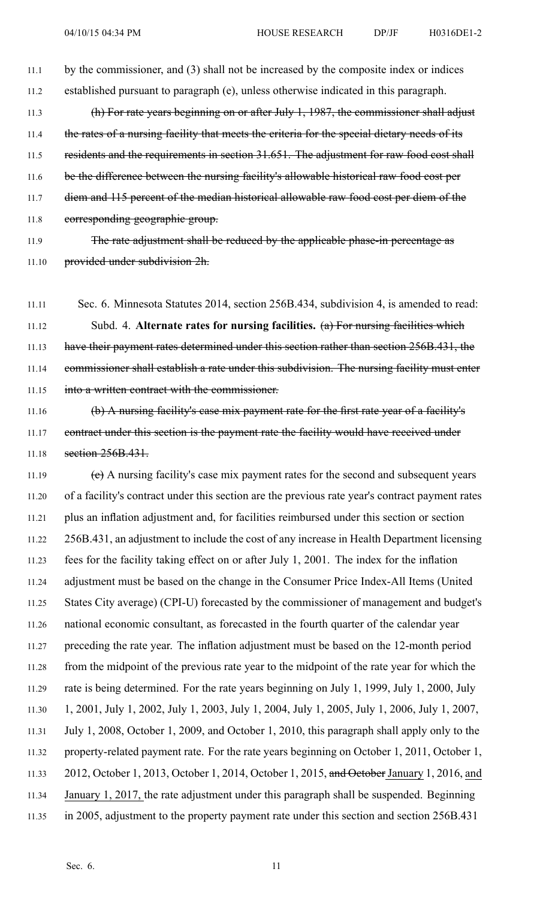11.1 by the commissioner, and (3) shall not be increased by the composite index or indices 11.2 established pursuan<sup>t</sup> to paragraph (e), unless otherwise indicated in this paragraph. 11.3 (h) For rate years beginning on or after July 1, 1987, the commissioner shall adjust 11.4 the rates of a nursing facility that meets the criteria for the special dietary needs of its 11.5 residents and the requirements in section 31.651. The adjustment for raw food cost shall 11.6 be the difference between the nursing facility's allowable historical raw food cost per 11.7 diem and 115 percent of the median historical allowable raw food cost per diem of the 11.8 corresponding geographic group.

11.9 The rate adjustment shall be reduced by the applicable phase-in percentage as 11.10 provided under subdivision 2h.

11.11 Sec. 6. Minnesota Statutes 2014, section 256B.434, subdivision 4, is amended to read: 11.12 Subd. 4. **Alternate rates for nursing facilities.** (a) For nursing facilities which 11.13 have their payment rates determined under this section rather than section 256B.431, the 11.14 commissioner shall establish <sup>a</sup> rate under this subdivision. The nursing facility must enter 11.15 into <sup>a</sup> written contract with the commissioner.

11.16 (b) A nursing facility's case mix paymen<sup>t</sup> rate for the first rate year of <sup>a</sup> facility's 11.17 contract under this section is the payment rate the facility would have received under 11.18 **section 256B.431.** 

11.19  $\left\{e\right\}$  A nursing facility's case mix payment rates for the second and subsequent years 11.20 of <sup>a</sup> facility's contract under this section are the previous rate year's contract paymen<sup>t</sup> rates 11.21 plus an inflation adjustment and, for facilities reimbursed under this section or section 11.22 256B.431, an adjustment to include the cost of any increase in Health Department licensing 11.23 fees for the facility taking effect on or after July 1, 2001. The index for the inflation 11.24 adjustment must be based on the change in the Consumer Price Index-All Items (United 11.25 States City average) (CPI-U) forecasted by the commissioner of managemen<sup>t</sup> and budget's 11.26 national economic consultant, as forecasted in the fourth quarter of the calendar year 11.27 preceding the rate year. The inflation adjustment must be based on the 12-month period 11.28 from the midpoint of the previous rate year to the midpoint of the rate year for which the 11.29 rate is being determined. For the rate years beginning on July 1, 1999, July 1, 2000, July 11.30 1, 2001, July 1, 2002, July 1, 2003, July 1, 2004, July 1, 2005, July 1, 2006, July 1, 2007, 11.31 July 1, 2008, October 1, 2009, and October 1, 2010, this paragraph shall apply only to the 11.32 property-related paymen<sup>t</sup> rate. For the rate years beginning on October 1, 2011, October 1, 11.33 2012, October 1, 2013, October 1, 2014, October 1, 2015, and October January 1, 2016, and 11.34 January 1, 2017, the rate adjustment under this paragraph shall be suspended. Beginning 11.35 in 2005, adjustment to the property paymen<sup>t</sup> rate under this section and section 256B.431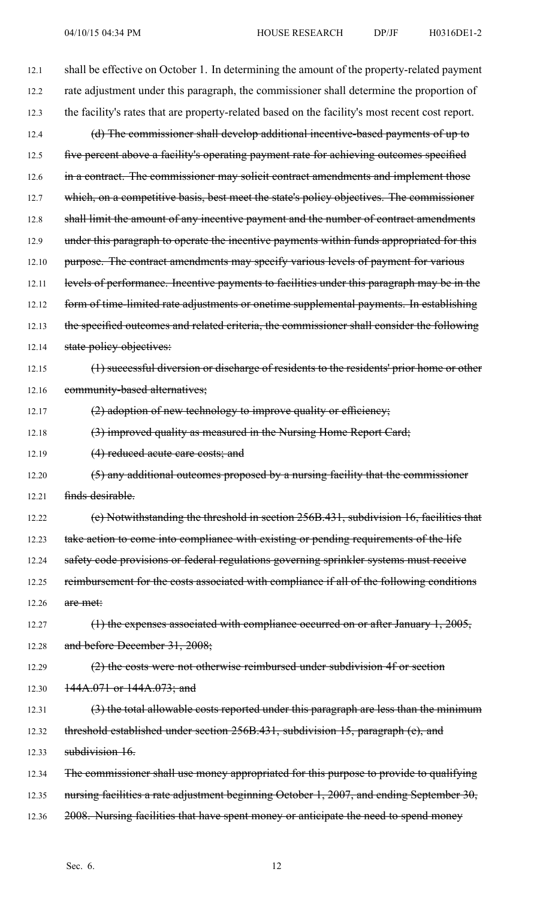12.1 shall be effective on October 1. In determining the amount of the property-related paymen<sup>t</sup> 12.2 rate adjustment under this paragraph, the commissioner shall determine the proportion of 12.3 the facility's rates that are property-related based on the facility's most recent cost report. 12.4 (d) The commissioner shall develop additional incentive-based payments of up to 12.5 five percent above a facility's operating payment rate for achieving outcomes specified 12.6 in a contract. The commissioner may solicit contract amendments and implement those 12.7 which, on a competitive basis, best meet the state's policy objectives. The commissioner 12.8 shall limit the amount of any incentive payment and the number of contract amendments 12.9 under this paragraph to operate the incentive payments within funds appropriated for this 12.10 purpose. The contract amendments may specify various levels of payment for various 12.11 levels of performance. Incentive payments to facilities under this paragraph may be in the 12.12 form of time-limited rate adjustments or onetime supplemental payments. In establishing 12.13 the specified outcomes and related criteria, the commissioner shall consider the following 12.14 state policy objectives: 12.15 (1) successful diversion or discharge of residents to the residents' prior home or other 12.16 community-based alternatives; 12.17  $(2)$  adoption of new technology to improve quality or efficiency; 12.18 (3) improved quality as measured in the Nursing Home Report Card; 12.19 (4) reduced acute care costs; and 12.20 (5) any additional outcomes proposed by a nursing facility that the commissioner 12.21 finds desirable. 12.22 (e) Notwithstanding the threshold in section 256B.431, subdivision 16, facilities that 12.23 take action to come into compliance with existing or pending requirements of the life 12.24 safety code provisions or federal regulations governing sprinkler systems must receive 12.25 reimbursement for the costs associated with compliance if all of the following conditions 12.26 are met: 12.27 (1) the expenses associated with compliance occurred on or after January 1, 2005, 12.28 and before December 31, 2008; 12.29 (2) the costs were not otherwise reimbursed under subdivision 4f or section 12.30 144A.071 or 144A.073; and 12.31 (3) the total allowable costs reported under this paragraph are less than the minimum 12.32 threshold established under section 256B.431, subdivision 15, paragraph (e), and 12.33 subdivision 16. 12.34 The commissioner shall use money appropriated for this purpose to provide to qualifying 12.35 nursing facilities a rate adjustment beginning October 1, 2007, and ending September 30, 12.36 2008. Nursing facilities that have spent money or anticipate the need to spend money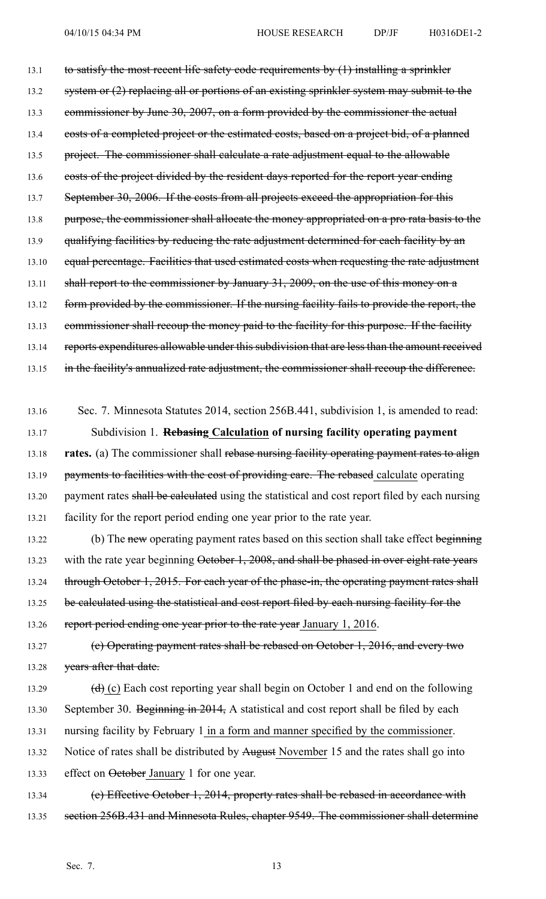13.1 to satisfy the most recent life safety code requirements by (1) installing a sprinkler 13.2 system or (2) replacing all or portions of an existing sprinkler system may submit to the 13.3 commissioner by June 30, 2007, on a form provided by the commissioner the actual 13.4 costs of a completed project or the estimated costs, based on a project bid, of a planned 13.5 project. The commissioner shall calculate a rate adjustment equal to the allowable 13.6 costs of the project divided by the resident days reported for the report year ending 13.7 September 30, 2006. If the costs from all projects exceed the appropriation for this 13.8 purpose, the commissioner shall allocate the money appropriated on a pro rata basis to the 13.9 qualifying facilities by reducing the rate adjustment determined for each facility by an 13.10 equal percentage. Facilities that used estimated costs when requesting the rate adjustment 13.11 shall report to the commissioner by January 31, 2009, on the use of this money on a 13.12 form provided by the commissioner. If the nursing facility fails to provide the report, the 13.13 commissioner shall recoup the money paid to the facility for this purpose. If the facility 13.14 reports expenditures allowable under this subdivision that are less than the amount received 13.15 in the facility's annualized rate adjustment, the commissioner shall recoup the difference.

13.16 Sec. 7. Minnesota Statutes 2014, section 256B.441, subdivision 1, is amended to read: 13.17 Subdivision 1. **Rebasing Calculation of nursing facility operating paymen<sup>t</sup>** 13.18 **rates.** (a) The commissioner shall rebase nursing facility operating paymen<sup>t</sup> rates to align 13.19 payments to facilities with the cost of providing care. The rebased calculate operating 13.20 payment rates shall be calculated using the statistical and cost report filed by each nursing 13.21 facility for the repor<sup>t</sup> period ending one year prior to the rate year.

- 13.22 (b) The new operating payment rates based on this section shall take effect beginning 13.23 with the rate year beginning October 1, 2008, and shall be phased in over eight rate years 13.24 through October 1, 2015. For each year of the phase-in, the operating payment rates shall 13.25 be calculated using the statistical and cost report filed by each nursing facility for the 13.26 report period ending one year prior to the rate year January 1, 2016.
- 13.27 (c) Operating paymen<sup>t</sup> rates shall be rebased on October 1, 2016, and every two 13.28 years after that date.
- 13.29  $(d)$  (c) Each cost reporting year shall begin on October 1 and end on the following 13.30 September 30. Beginning in 2014, A statistical and cost report shall be filed by each 13.31 nursing facility by February 1 in <sup>a</sup> form and manner specified by the commissioner. 13.32 Notice of rates shall be distributed by August November 15 and the rates shall go into 13.33 effect on October January 1 for one year.
- 13.34 (e) Effective October 1, 2014, property rates shall be rebased in accordance with 13.35 section 256B.431 and Minnesota Rules, chapter 9549. The commissioner shall determine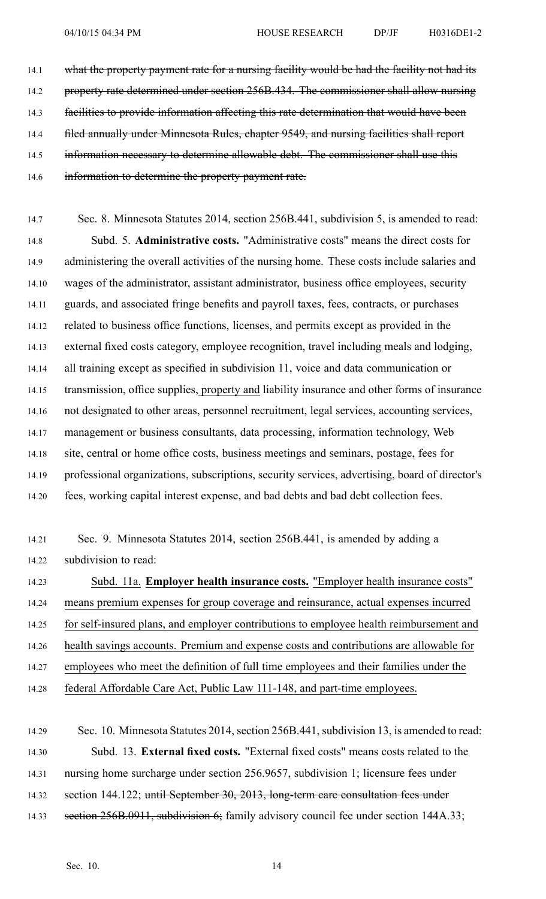14.1 what the property payment rate for a nursing facility would be had the facility not had its 14.2 property rate determined under section 256B.434. The commissioner shall allow nursing 14.3 facilities to provide information affecting this rate determination that would have been 14.4 filed annually under Minnesota Rules, chapter 9549, and nursing facilities shall report 14.5 information necessary to determine allowable debt. The commissioner shall use this 14.6 information to determine the property payment rate.

14.7 Sec. 8. Minnesota Statutes 2014, section 256B.441, subdivision 5, is amended to read: 14.8 Subd. 5. **Administrative costs.** "Administrative costs" means the direct costs for 14.9 administering the overall activities of the nursing home. These costs include salaries and 14.10 wages of the administrator, assistant administrator, business office employees, security 14.11 guards, and associated fringe benefits and payroll taxes, fees, contracts, or purchases 14.12 related to business office functions, licenses, and permits excep<sup>t</sup> as provided in the 14.13 external fixed costs category, employee recognition, travel including meals and lodging, 14.14 all training excep<sup>t</sup> as specified in subdivision 11, voice and data communication or 14.15 transmission, office supplies, property and liability insurance and other forms of insurance 14.16 not designated to other areas, personnel recruitment, legal services, accounting services, 14.17 managemen<sup>t</sup> or business consultants, data processing, information technology, Web 14.18 site, central or home office costs, business meetings and seminars, postage, fees for 14.19 professional organizations, subscriptions, security services, advertising, board of director's 14.20 fees, working capital interest expense, and bad debts and bad debt collection fees.

14.21 Sec. 9. Minnesota Statutes 2014, section 256B.441, is amended by adding <sup>a</sup> 14.22 subdivision to read:

14.23 Subd. 11a. **Employer health insurance costs.** "Employer health insurance costs" 14.24 means premium expenses for group coverage and reinsurance, actual expenses incurred 14.25 for self-insured plans, and employer contributions to employee health reimbursement and 14.26 health savings accounts. Premium and expense costs and contributions are allowable for 14.27 employees who meet the definition of full time employees and their families under the 14.28 federal Affordable Care Act, Public Law 111-148, and part-time employees.

14.29 Sec. 10. Minnesota Statutes 2014, section 256B.441, subdivision 13, is amended to read: 14.30 Subd. 13. **External fixed costs.** "External fixed costs" means costs related to the 14.31 nursing home surcharge under section 256.9657, subdivision 1; licensure fees under 14.32 section 144.122; until September 30, 2013, long-term care consultation fees under 14.33 section 256B.0911, subdivision 6; family advisory council fee under section 144A.33;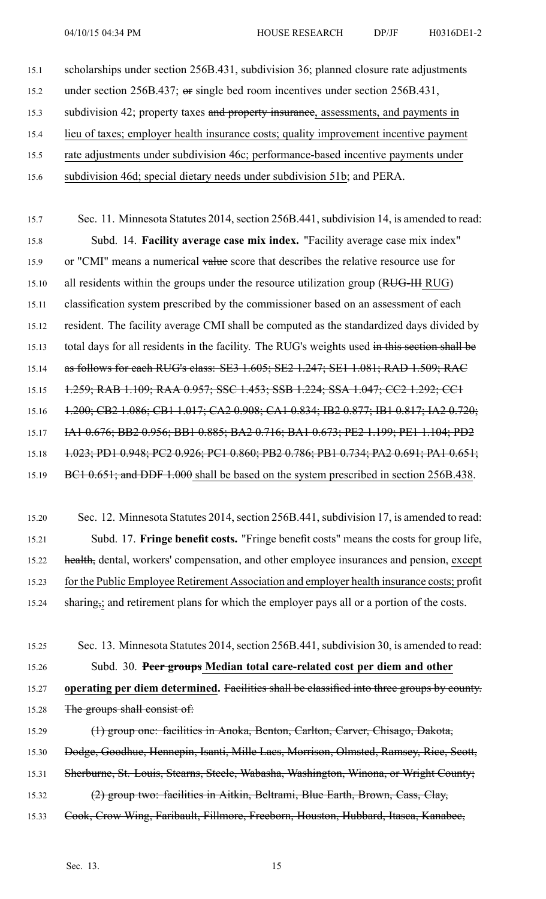- 15.1 scholarships under section 256B.431, subdivision 36; planned closure rate adjustments 15.2 under section 256B.437; or single bed room incentives under section 256B.431, 15.3 subdivision 42; property taxes and property insurance, assessments, and payments in 15.4 lieu of taxes; employer health insurance costs; quality improvement incentive paymen<sup>t</sup>
- 15.5 rate adjustments under subdivision 46c; performance-based incentive payments under
- 15.6 subdivision 46d; special dietary needs under subdivision 51b; and PERA.

15.7 Sec. 11. Minnesota Statutes 2014, section 256B.441, subdivision 14, is amended to read: 15.8 Subd. 14. **Facility average case mix index.** "Facility average case mix index" 15.9 or "CMI" means a numerical value score that describes the relative resource use for 15.10 all residents within the groups under the resource utilization group (RUG-III RUG) 15.11 classification system prescribed by the commissioner based on an assessment of each 15.12 resident. The facility average CMI shall be computed as the standardized days divided by 15.13 total days for all residents in the facility. The RUG's weights used in this section shall be 15.14 as follows for each RUG's class: SE3 1.605; SE2 1.247; SE1 1.081; RAD 1.509; RAC 15.15 1.259; RAB 1.109; RAA 0.957; SSC 1.453; SSB 1.224; SSA 1.047; CC2 1.292; CC1 15.16 1.200; CB2 1.086; CB1 1.017; CA2 0.908; CA1 0.834; IB2 0.877; IB1 0.817; IA2 0.720; 15.17 IA1 0.676; BB2 0.956; BB1 0.885; BA2 0.716; BA1 0.673; PE2 1.199; PE1 1.104; PD2 15.18 1.023; PD1 0.948; PC2 0.926; PC1 0.860; PB2 0.786; PB1 0.734; PA2 0.691; PA1 0.651; 15.19 BC1 0.651; and DDF 1.000 shall be based on the system prescribed in section 256B.438.

- 15.20 Sec. 12. Minnesota Statutes 2014, section 256B.441, subdivision 17, is amended to read: 15.21 Subd. 17. **Fringe benefit costs.** "Fringe benefit costs" means the costs for group life, 15.22 health, dental, workers' compensation, and other employee insurances and pension, except 15.23 for the Public Employee Retirement Association and employer health insurance costs; profit 15.24 sharing, and retirement plans for which the employer pays all or a portion of the costs.
- 15.25 Sec. 13. Minnesota Statutes 2014, section 256B.441, subdivision 30, is amended to read: 15.26 Subd. 30. **Peer groups Median total care-related cost per diem and other** 15.27 **operating per diem determined.** Facilities shall be classified into three groups by county. 15.28 The groups shall consist of:
- 15.29 (1) group one: facilities in Anoka, Benton, Carlton, Carver, Chisago, Dakota, 15.30 Dodge, Goodhue, Hennepin, Isanti, Mille Laes, Morrison, Olmsted, Ramsey, Rice, Scott, 15.31 Sherburne, St. Louis, Stearns, Steele, Wabasha, Washington, Winona, or Wright County; 15.32 (2) group two: facilities in Aitkin, Beltrami, Blue Earth, Brown, Cass, Clay, 15.33 Cook, Crow Wing, Faribault, Fillmore, Freeborn, Houston, Hubbard, Itasca, Kanabec,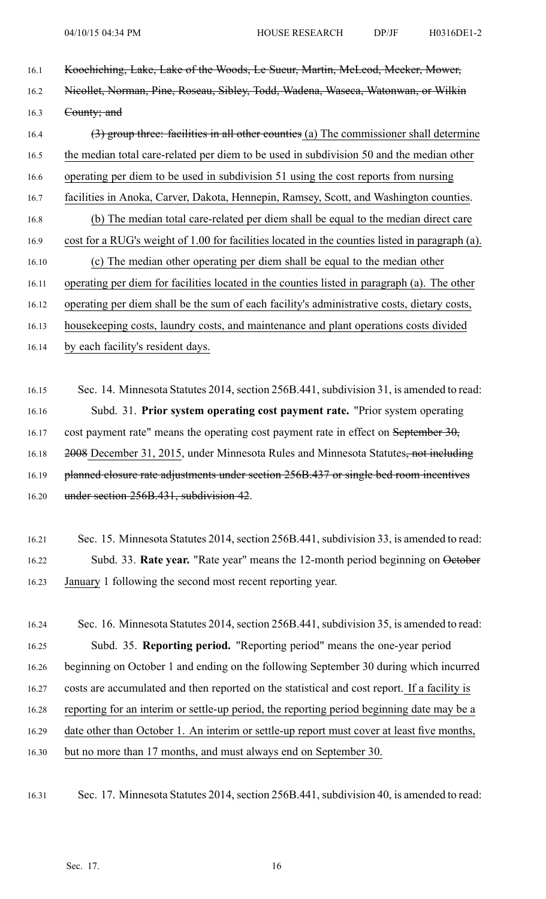- 16.1 Koochiching, Lake, Lake of the Woods, Le Sueur, Martin, McLeod, Meeker, Mower, 16.2 Nicollet, Norman, Pine, Roseau, Sibley, Todd, Wadena, Waseca, Watonwan, or Wilkin 16.3 County; and 16.4 (3) group three: facilities in all other counties (a) The commissioner shall determine 16.5 the median total care-related per diem to be used in subdivision 50 and the median other 16.6 operating per diem to be used in subdivision 51 using the cost reports from nursing 16.7 facilities in Anoka, Carver, Dakota, Hennepin, Ramsey, Scott, and Washington counties. 16.8 (b) The median total care-related per diem shall be equal to the median direct care 16.9 cost for <sup>a</sup> RUG's weight of 1.00 for facilities located in the counties listed in paragraph (a). 16.10 (c) The median other operating per diem shall be equal to the median other 16.11 operating per diem for facilities located in the counties listed in paragraph (a). The other 16.12 operating per diem shall be the sum of each facility's administrative costs, dietary costs, 16.13 housekeeping costs, laundry costs, and maintenance and plant operations costs divided 16.14 by each facility's resident days.
- 16.15 Sec. 14. Minnesota Statutes 2014, section 256B.441, subdivision 31, is amended to read: 16.16 Subd. 31. **Prior system operating cost paymen<sup>t</sup> rate.** "Prior system operating 16.17 cost payment rate" means the operating cost payment rate in effect on September 30, 16.18 2008 December 31, 2015, under Minnesota Rules and Minnesota Statutes, not including 16.19 planned closure rate adjustments under section 256B.437 or single bed room incentives 16.20 under section 256B.431, subdivision 42.
- 16.21 Sec. 15. Minnesota Statutes 2014, section 256B.441, subdivision 33, is amended to read: 16.22 Subd. 33. **Rate year.** "Rate year" means the 12-month period beginning on October 16.23 January 1 following the second most recent reporting year.
- 16.24 Sec. 16. Minnesota Statutes 2014, section 256B.441, subdivision 35, is amended to read: 16.25 Subd. 35. **Reporting period.** "Reporting period" means the one-year period 16.26 beginning on October 1 and ending on the following September 30 during which incurred 16.27 costs are accumulated and then reported on the statistical and cost report. If <sup>a</sup> facility is 16.28 reporting for an interim or settle-up period, the reporting period beginning date may be <sup>a</sup> 16.29 date other than October 1. An interim or settle-up repor<sup>t</sup> must cover at least five months, 16.30 but no more than 17 months, and must always end on September 30.
- 16.31 Sec. 17. Minnesota Statutes 2014, section 256B.441, subdivision 40, is amended to read: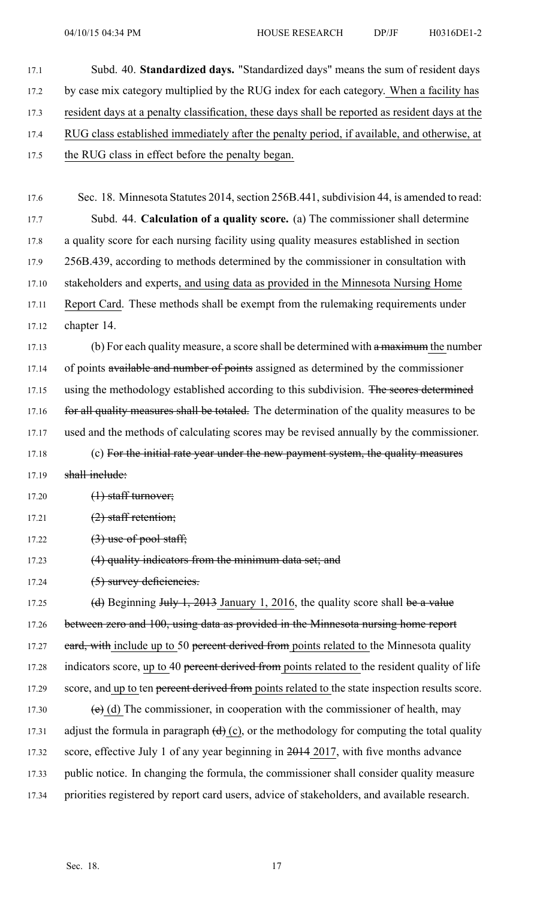17.1 Subd. 40. **Standardized days.** "Standardized days" means the sum of resident days 17.2 by case mix category multiplied by the RUG index for each category. When a facility has 17.3 resident days at <sup>a</sup> penalty classification, these days shall be reported as resident days at the 17.4 RUG class established immediately after the penalty period, if available, and otherwise, at 17.5 the RUG class in effect before the penalty began.

17.6 Sec. 18. Minnesota Statutes 2014, section 256B.441, subdivision 44, is amended to read: 17.7 Subd. 44. **Calculation of <sup>a</sup> quality score.** (a) The commissioner shall determine 17.8 <sup>a</sup> quality score for each nursing facility using quality measures established in section 17.9 256B.439, according to methods determined by the commissioner in consultation with 17.10 stakeholders and experts, and using data as provided in the Minnesota Nursing Home 17.11 Report Card. These methods shall be exemp<sup>t</sup> from the rulemaking requirements under 17.12 chapter 14.

17.13 (b) For each quality measure, a score shall be determined with a maximum the number 17.14 of points available and number of points assigned as determined by the commissioner 17.15 using the methodology established according to this subdivision. The scores determined 17.16 for all quality measures shall be totaled. The determination of the quality measures to be 17.17 used and the methods of calculating scores may be revised annually by the commissioner.

17.18 (c) For the initial rate year under the new payment system, the quality measures 17.19 shall include:

 $17.20$   $(1)$  staff turnover;

- $17.21$   $(2)$  staff retention;
- 17.22  $(3)$  use of pool staff;
- 17.23 (4) quality indicators from the minimum data set; and

17.24 (5) survey deficiencies.

17.25 (d) Beginning July 1, 2013 January 1, 2016, the quality score shall be a value 17.26 between zero and 100, using data as provided in the Minnesota nursing home report 17.27 eard, with include up to 50 percent derived from points related to the Minnesota quality 17.28 indicators score, up to 40 percent derived from points related to the resident quality of life 17.29 score, and up to ten percent derived from points related to the state inspection results score. 17.30 (e) (d) The commissioner, in cooperation with the commissioner of health, may 17.31 adjust the formula in paragraph  $(d)$  (c), or the methodology for computing the total quality 17.32 score, effective July 1 of any year beginning in 2014 2017, with five months advance 17.33 public notice. In changing the formula, the commissioner shall consider quality measure 17.34 priorities registered by repor<sup>t</sup> card users, advice of stakeholders, and available research.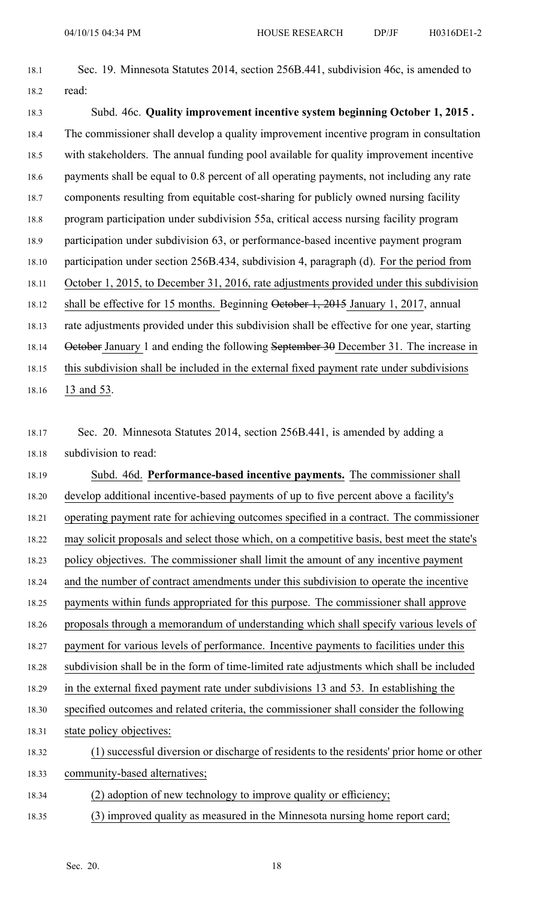| 18.1  | Sec. 19. Minnesota Statutes 2014, section 256B.441, subdivision 46c, is amended to          |
|-------|---------------------------------------------------------------------------------------------|
| 18.2  | read:                                                                                       |
| 18.3  | Subd. 46c. Quality improvement incentive system beginning October 1, 2015.                  |
| 18.4  | The commissioner shall develop a quality improvement incentive program in consultation      |
| 18.5  | with stakeholders. The annual funding pool available for quality improvement incentive      |
| 18.6  | payments shall be equal to 0.8 percent of all operating payments, not including any rate    |
| 18.7  | components resulting from equitable cost-sharing for publicly owned nursing facility        |
| 18.8  | program participation under subdivision 55a, critical access nursing facility program       |
| 18.9  | participation under subdivision 63, or performance-based incentive payment program          |
| 18.10 | participation under section 256B.434, subdivision 4, paragraph (d). For the period from     |
| 18.11 | October 1, 2015, to December 31, 2016, rate adjustments provided under this subdivision     |
| 18.12 | shall be effective for 15 months. Beginning October 1, 2015 January 1, 2017, annual         |
| 18.13 | rate adjustments provided under this subdivision shall be effective for one year, starting  |
| 18.14 | October January 1 and ending the following September 30 December 31. The increase in        |
| 18.15 | this subdivision shall be included in the external fixed payment rate under subdivisions    |
| 18.16 | 13 and 53.                                                                                  |
|       |                                                                                             |
| 18.17 | Sec. 20. Minnesota Statutes 2014, section 256B.441, is amended by adding a                  |
| 18.18 | subdivision to read:                                                                        |
| 18.19 | Subd. 46d. Performance-based incentive payments. The commissioner shall                     |
| 18.20 | develop additional incentive-based payments of up to five percent above a facility's        |
| 18.21 | operating payment rate for achieving outcomes specified in a contract. The commissioner     |
| 18.22 | may solicit proposals and select those which, on a competitive basis, best meet the state's |
| 18.23 | policy objectives. The commissioner shall limit the amount of any incentive payment         |
| 18.24 | and the number of contract amendments under this subdivision to operate the incentive       |
| 18.25 | payments within funds appropriated for this purpose. The commissioner shall approve         |
| 18.26 | proposals through a memorandum of understanding which shall specify various levels of       |
| 18.27 | payment for various levels of performance. Incentive payments to facilities under this      |
| 18.28 | subdivision shall be in the form of time-limited rate adjustments which shall be included   |
| 18.29 | in the external fixed payment rate under subdivisions 13 and 53. In establishing the        |
| 18.30 | specified outcomes and related criteria, the commissioner shall consider the following      |
| 18.31 | state policy objectives:                                                                    |
| 18.32 | (1) successful diversion or discharge of residents to the residents' prior home or other    |
| 18.33 | community-based alternatives;                                                               |
| 18.34 | (2) adoption of new technology to improve quality or efficiency;                            |
| 18.35 | (3) improved quality as measured in the Minnesota nursing home report card;                 |
|       |                                                                                             |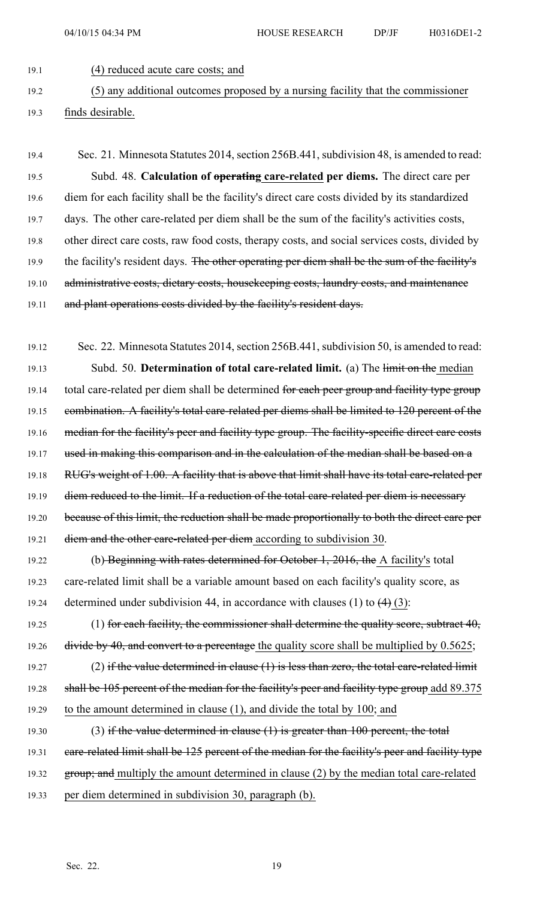19.1 (4) reduced acute care costs; and

19.2 (5) any additional outcomes proposed by <sup>a</sup> nursing facility that the commissioner 19.3 finds desirable.

19.4 Sec. 21. Minnesota Statutes 2014, section 256B.441, subdivision 48, is amended to read: 19.5 Subd. 48. **Calculation of operating care-related per diems.** The direct care per 19.6 diem for each facility shall be the facility's direct care costs divided by its standardized 19.7 days. The other care-related per diem shall be the sum of the facility's activities costs, 19.8 other direct care costs, raw food costs, therapy costs, and social services costs, divided by 19.9 the facility's resident days. The other operating per diem shall be the sum of the facility's 19.10 administrative costs, dietary costs, housekeeping costs, laundry costs, and maintenance 19.11 and plant operations costs divided by the facility's resident days.

19.12 Sec. 22. Minnesota Statutes 2014, section 256B.441, subdivision 50, is amended to read: 19.13 Subd. 50. **Determination of total care-related limit.** (a) The limit on the median 19.14 total care-related per diem shall be determined for each peer group and facility type group 19.15 combination. A facility's total care-related per diems shall be limited to 120 percent of the 19.16 median for the facility's peer and facility type group. The facility-specific direct care costs 19.17 used in making this comparison and in the calculation of the median shall be based on a 19.18 RUG's weight of 1.00. A facility that is above that limit shall have its total care-related per 19.19 diem reduced to the limit. If a reduction of the total care-related per diem is necessary 19.20 because of this limit, the reduction shall be made proportionally to both the direct care per 19.21 diem and the other care-related per diem according to subdivision 30.

19.22 (b) Beginning with rates determined for October 1, 2016, the A facility's total 19.23 care-related limit shall be <sup>a</sup> variable amount based on each facility's quality score, as 19.24 determined under subdivision 44, in accordance with clauses (1) to  $\left(4\right)$  (3):

19.25 (1) for each facility, the commissioner shall determine the quality score, subtract 40, 19.26 divide by 40, and convert to a percentage the quality score shall be multiplied by 0.5625;

19.27 (2) if the value determined in clause  $(1)$  is less than zero, the total care-related limit 19.28 shall be 105 percent of the median for the facility's peer and facility type group add 89.375 19.29 to the amount determined in clause (1), and divide the total by 100; and

19.30 (3) if the value determined in clause (1) is greater than 100 percent, the total 19.31 care-related limit shall be 125 percent of the median for the facility's peer and facility type 19.32 group; and multiply the amount determined in clause (2) by the median total care-related 19.33 per diem determined in subdivision 30, paragraph (b).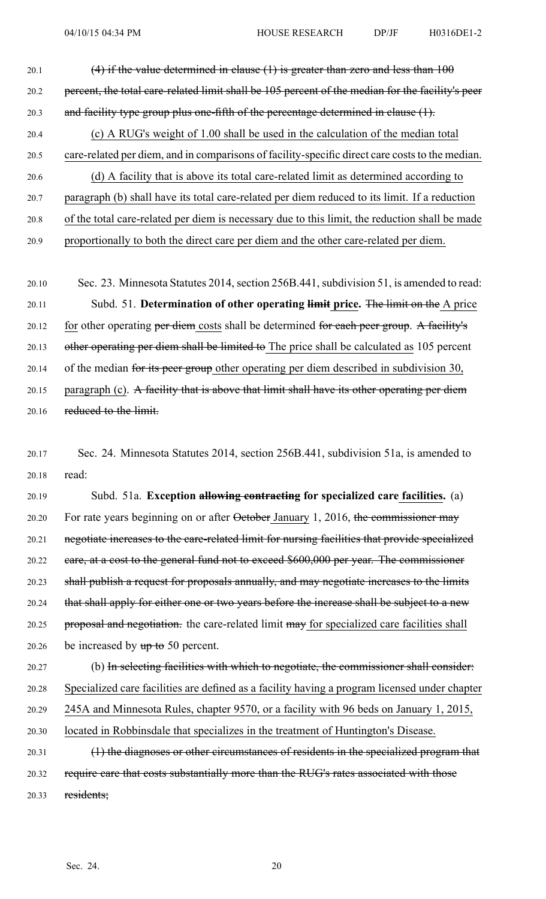- 20.1  $(4)$  if the value determined in clause (1) is greater than zero and less than 100 20.2 percent, the total care-related limit shall be 105 percen<sup>t</sup> of the median for the facility's peer 20.3 and facility type group plus one-fifth of the percentage determined in clause (1). 20.4 (c) A RUG's weight of 1.00 shall be used in the calculation of the median total 20.5 care-related per diem, and in comparisons of facility-specific direct care coststo the median. 20.6 (d) A facility that is above its total care-related limit as determined according to 20.7 paragraph (b) shall have its total care-related per diem reduced to its limit. If <sup>a</sup> reduction 20.8 of the total care-related per diem is necessary due to this limit, the reduction shall be made 20.9 proportionally to both the direct care per diem and the other care-related per diem.
- 20.10 Sec. 23. Minnesota Statutes 2014, section 256B.441, subdivision 51, is amended to read: 20.11 Subd. 51. **Determination of other operating limit price.** The limit on the A price 20.12 for other operating per diem costs shall be determined for each peer group. A facility's 20.13 other operating per diem shall be limited to The price shall be calculated as 105 percent 20.14 of the median for its peer group other operating per diem described in subdivision 30, 20.15 paragraph (c). A facility that is above that limit shall have its other operating per diem 20.16 reduced to the limit.
- 20.17 Sec. 24. Minnesota Statutes 2014, section 256B.441, subdivision 51a, is amended to 20.18 read:

20.19 Subd. 51a. **Exception allowing contracting for specialized care facilities.** (a) 20.20 For rate years beginning on or after October January 1, 2016, the commissioner may 20.21 negotiate increases to the care-related limit for nursing facilities that provide specialized 20.22 care, at <sup>a</sup> cost to the general fund not to exceed \$600,000 per year. The commissioner 20.23 shall publish <sup>a</sup> reques<sup>t</sup> for proposals annually, and may negotiate increases to the limits 20.24 that shall apply for either one or two years before the increase shall be subject to a new 20.25 proposal and negotiation. the care-related limit may for specialized care facilities shall 20.26 be increased by  $up to 50$  percent.

- 20.27 (b) In selecting facilities with which to negotiate, the commissioner shall consider: 20.28 Specialized care facilities are defined as <sup>a</sup> facility having <sup>a</sup> program licensed under chapter 20.29 245A and Minnesota Rules, chapter 9570, or <sup>a</sup> facility with 96 beds on January 1, 2015, 20.30 located in Robbinsdale that specializes in the treatment of Huntington's Disease.
- 20.31 (1) the diagnoses or other circumstances of residents in the specialized program that 20.32 require care that costs substantially more than the RUG's rates associated with those 20.33 residents;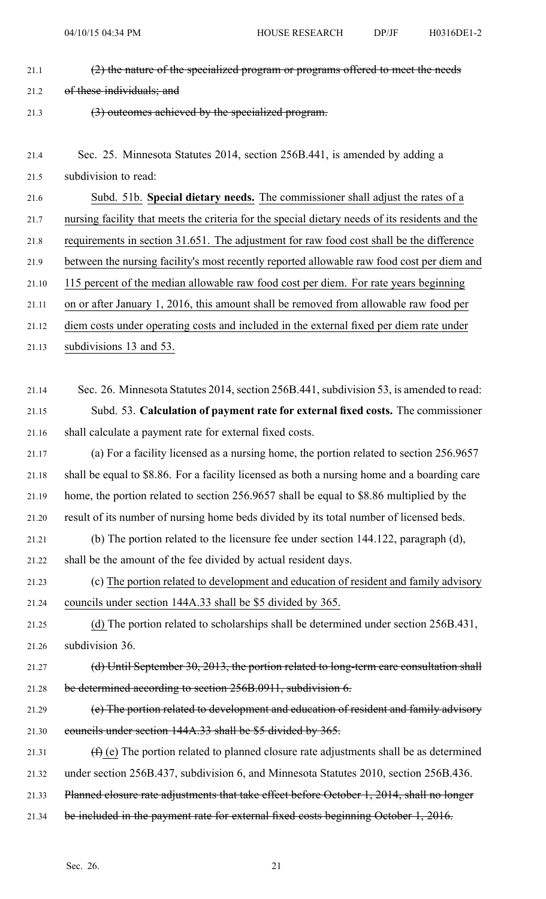- 21.1  $(2)$  the nature of the specialized program or programs offered to meet the needs 21.2 of these individuals; and 21.3 (3) outcomes achieved by the specialized program.
- 21.4 Sec. 25. Minnesota Statutes 2014, section 256B.441, is amended by adding <sup>a</sup> 21.5 subdivision to read:

21.6 Subd. 51b. **Special dietary needs.** The commissioner shall adjust the rates of <sup>a</sup> 21.7 nursing facility that meets the criteria for the special dietary needs of its residents and the 21.8 requirements in section 31.651. The adjustment for raw food cost shall be the difference 21.9 between the nursing facility's most recently reported allowable raw food cost per diem and 21.10 115 percen<sup>t</sup> of the median allowable raw food cost per diem. For rate years beginning 21.11 on or after January 1, 2016, this amount shall be removed from allowable raw food per 21.12 diem costs under operating costs and included in the external fixed per diem rate under

- 21.13 subdivisions 13 and 53.
- 21.14 Sec. 26. Minnesota Statutes 2014, section 256B.441, subdivision 53, is amended to read: 21.15 Subd. 53. **Calculation of paymen<sup>t</sup> rate for external fixed costs.** The commissioner 21.16 shall calculate <sup>a</sup> paymen<sup>t</sup> rate for external fixed costs.
- 21.17 (a) For <sup>a</sup> facility licensed as <sup>a</sup> nursing home, the portion related to section 256.9657 21.18 shall be equal to \$8.86. For <sup>a</sup> facility licensed as both <sup>a</sup> nursing home and <sup>a</sup> boarding care 21.19 home, the portion related to section 256.9657 shall be equal to \$8.86 multiplied by the 21.20 result of its number of nursing home beds divided by its total number of licensed beds.
- 21.21 (b) The portion related to the licensure fee under section 144.122, paragraph (d), 21.22 shall be the amount of the fee divided by actual resident days.
- 21.23 (c) The portion related to development and education of resident and family advisory 21.24 councils under section 144A.33 shall be \$5 divided by 365.
- 21.25 (d) The portion related to scholarships shall be determined under section 256B.431, 21.26 subdivision 36.
- 21.27 (d) Until September 30, 2013, the portion related to long-term care consultation shall 21.28 be determined according to section 256B.0911, subdivision 6.
- 21.29 (e) The portion related to development and education of resident and family advisory 21.30 councils under section 144A.33 shall be \$5 divided by 365.
- 21.31  $(f)$  (e) The portion related to planned closure rate adjustments shall be as determined 21.32 under section 256B.437, subdivision 6, and Minnesota Statutes 2010, section 256B.436.
- 21.33 Planned closure rate adjustments that take effect before October 1, 2014, shall no longer
- 21.34 be included in the payment rate for external fixed costs beginning October 1, 2016.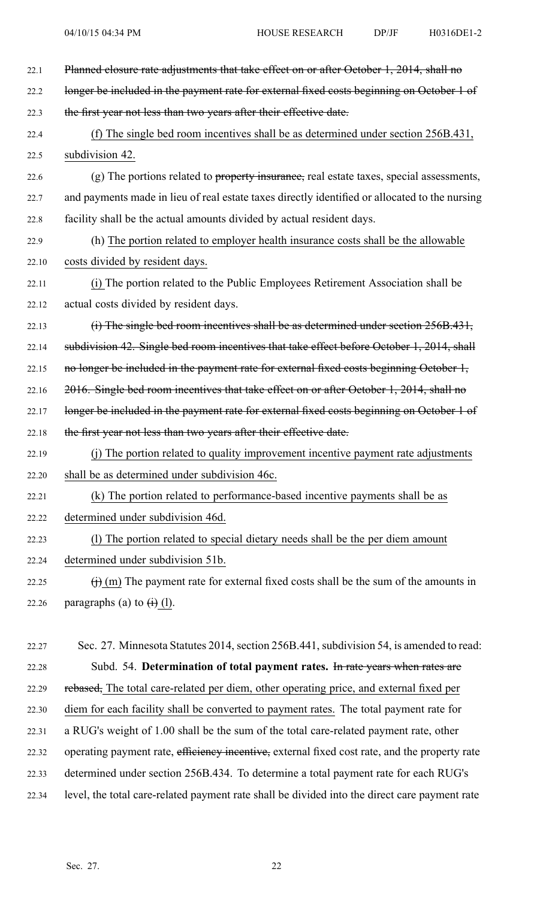| 22.1  | Planned closure rate adjustments that take effect on or after October 1, 2014, shall no                |
|-------|--------------------------------------------------------------------------------------------------------|
| 22.2  | longer be included in the payment rate for external fixed costs beginning on October 1 of              |
| 22.3  | the first year not less than two years after their effective date.                                     |
| 22.4  | (f) The single bed room incentives shall be as determined under section 256B.431,                      |
| 22.5  | subdivision 42.                                                                                        |
| 22.6  | (g) The portions related to property insurance, real estate taxes, special assessments,                |
| 22.7  | and payments made in lieu of real estate taxes directly identified or allocated to the nursing         |
| 22.8  | facility shall be the actual amounts divided by actual resident days.                                  |
| 22.9  | (h) The portion related to employer health insurance costs shall be the allowable                      |
| 22.10 | costs divided by resident days.                                                                        |
| 22.11 | (i) The portion related to the Public Employees Retirement Association shall be                        |
| 22.12 | actual costs divided by resident days.                                                                 |
| 22.13 | (i) The single bed room incentives shall be as determined under section 256B.431,                      |
| 22.14 | subdivision 42. Single bed room incentives that take effect before October 1, 2014, shall              |
| 22.15 | no longer be included in the payment rate for external fixed costs beginning October 1,                |
| 22.16 | 2016. Single bed room incentives that take effect on or after October 1, 2014, shall no                |
| 22.17 | longer be included in the payment rate for external fixed costs beginning on October 1 of              |
| 22.18 | the first year not less than two years after their effective date.                                     |
| 22.19 | (j) The portion related to quality improvement incentive payment rate adjustments                      |
| 22.20 | shall be as determined under subdivision 46c.                                                          |
| 22.21 | (k) The portion related to performance-based incentive payments shall be as                            |
| 22.22 | determined under subdivision 46d.                                                                      |
| 22.23 | (1) The portion related to special dietary needs shall be the per diem amount                          |
| 22.24 | determined under subdivision 51b.                                                                      |
| 22.25 | $\overrightarrow{()}$ (m) The payment rate for external fixed costs shall be the sum of the amounts in |
| 22.26 | paragraphs (a) to $\leftrightarrow$ (l).                                                               |
|       |                                                                                                        |
| 22.27 | Sec. 27. Minnesota Statutes 2014, section 256B.441, subdivision 54, is amended to read:                |
| 22.28 | Subd. 54. Determination of total payment rates. In rate years when rates are                           |
| 22.29 | rebased, The total care-related per diem, other operating price, and external fixed per                |
| 22.30 | diem for each facility shall be converted to payment rates. The total payment rate for                 |
| 22.31 | a RUG's weight of 1.00 shall be the sum of the total care-related payment rate, other                  |
| 22.32 | operating payment rate, efficiency incentive, external fixed cost rate, and the property rate          |
| 22.33 | determined under section 256B.434. To determine a total payment rate for each RUG's                    |

22.34 level, the total care-related paymen<sup>t</sup> rate shall be divided into the direct care paymen<sup>t</sup> rate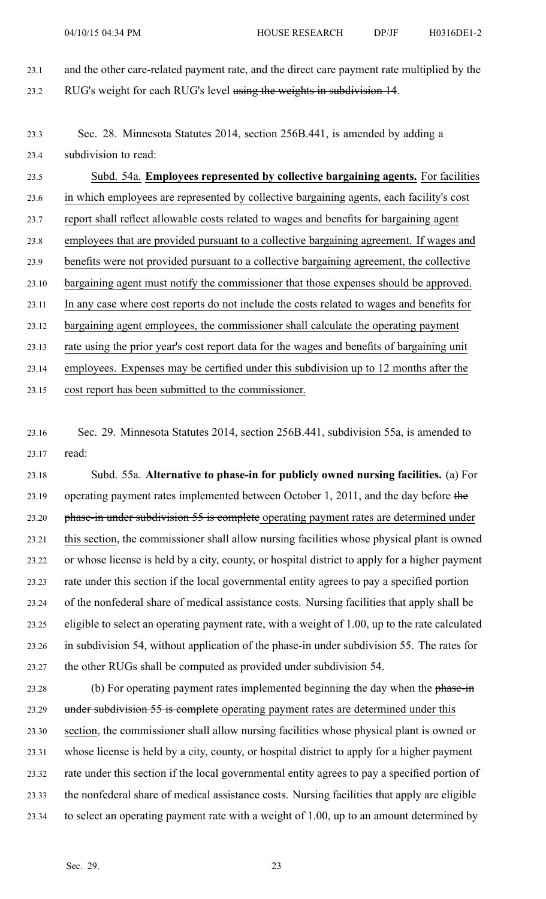- 23.1 and the other care-related paymen<sup>t</sup> rate, and the direct care paymen<sup>t</sup> rate multiplied by the 23.2 RUG's weight for each RUG's level using the weights in subdivision 14.
- 23.3 Sec. 28. Minnesota Statutes 2014, section 256B.441, is amended by adding <sup>a</sup> 23.4 subdivision to read:

23.5 Subd. 54a. **Employees represented by collective bargaining agents.** For facilities 23.6 in which employees are represented by collective bargaining agents, each facility's cost 23.7 repor<sup>t</sup> shall reflect allowable costs related to wages and benefits for bargaining agen<sup>t</sup> 23.8 employees that are provided pursuan<sup>t</sup> to <sup>a</sup> collective bargaining agreement. If wages and 23.9 benefits were not provided pursuan<sup>t</sup> to <sup>a</sup> collective bargaining agreement, the collective 23.10 bargaining agen<sup>t</sup> must notify the commissioner that those expenses should be approved. 23.11 In any case where cost reports do not include the costs related to wages and benefits for 23.12 bargaining agen<sup>t</sup> employees, the commissioner shall calculate the operating paymen<sup>t</sup> 23.13 rate using the prior year's cost repor<sup>t</sup> data for the wages and benefits of bargaining unit 23.14 employees. Expenses may be certified under this subdivision up to 12 months after the 23.15 cost repor<sup>t</sup> has been submitted to the commissioner.

23.16 Sec. 29. Minnesota Statutes 2014, section 256B.441, subdivision 55a, is amended to 23.17 read:

23.18 Subd. 55a. **Alternative to phase-in for publicly owned nursing facilities.** (a) For 23.19 operating paymen<sup>t</sup> rates implemented between October 1, 2011, and the day before the 23.20 phase-in under subdivision 55 is complete operating payment rates are determined under 23.21 this section, the commissioner shall allow nursing facilities whose physical plant is owned 23.22 or whose license is held by <sup>a</sup> city, county, or hospital district to apply for <sup>a</sup> higher paymen<sup>t</sup> 23.23 rate under this section if the local governmental entity agrees to pay <sup>a</sup> specified portion 23.24 of the nonfederal share of medical assistance costs. Nursing facilities that apply shall be 23.25 eligible to select an operating paymen<sup>t</sup> rate, with <sup>a</sup> weight of 1.00, up to the rate calculated 23.26 in subdivision 54, without application of the phase-in under subdivision 55. The rates for 23.27 the other RUGs shall be computed as provided under subdivision 54.

23.28 (b) For operating paymen<sup>t</sup> rates implemented beginning the day when the phase-in 23.29 under subdivision 55 is complete operating payment rates are determined under this 23.30 section, the commissioner shall allow nursing facilities whose physical plant is owned or 23.31 whose license is held by <sup>a</sup> city, county, or hospital district to apply for <sup>a</sup> higher paymen<sup>t</sup> 23.32 rate under this section if the local governmental entity agrees to pay <sup>a</sup> specified portion of 23.33 the nonfederal share of medical assistance costs. Nursing facilities that apply are eligible 23.34 to select an operating paymen<sup>t</sup> rate with <sup>a</sup> weight of 1.00, up to an amount determined by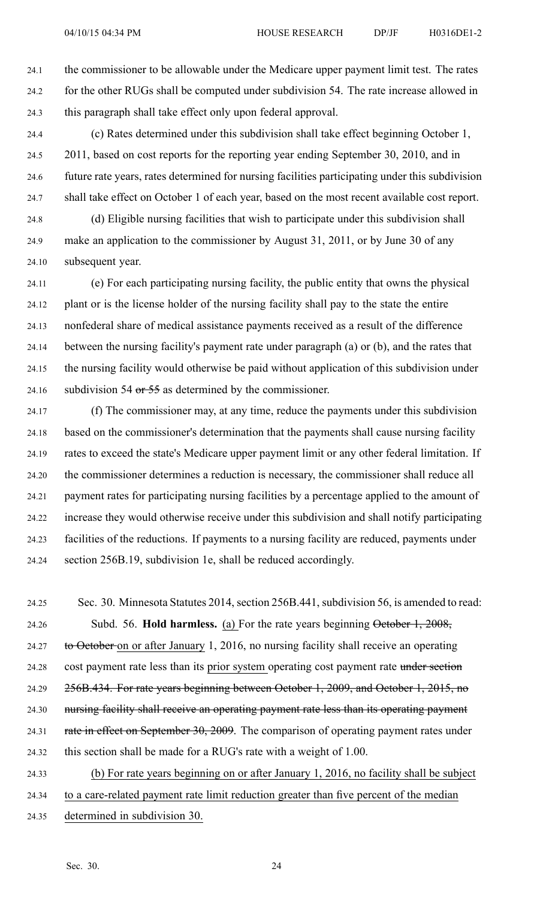24.1 the commissioner to be allowable under the Medicare upper paymen<sup>t</sup> limit test. The rates 24.2 for the other RUGs shall be computed under subdivision 54. The rate increase allowed in 24.3 this paragraph shall take effect only upon federal approval.

24.4 (c) Rates determined under this subdivision shall take effect beginning October 1, 24.5 2011, based on cost reports for the reporting year ending September 30, 2010, and in 24.6 future rate years, rates determined for nursing facilities participating under this subdivision 24.7 shall take effect on October 1 of each year, based on the most recent available cost report.

24.8 (d) Eligible nursing facilities that wish to participate under this subdivision shall 24.9 make an application to the commissioner by August 31, 2011, or by June 30 of any 24.10 subsequent year.

24.11 (e) For each participating nursing facility, the public entity that owns the physical 24.12 plant or is the license holder of the nursing facility shall pay to the state the entire 24.13 nonfederal share of medical assistance payments received as <sup>a</sup> result of the difference 24.14 between the nursing facility's paymen<sup>t</sup> rate under paragraph (a) or (b), and the rates that 24.15 the nursing facility would otherwise be paid without application of this subdivision under 24.16 subdivision 54 or  $\frac{55}{5}$  as determined by the commissioner.

24.17 (f) The commissioner may, at any time, reduce the payments under this subdivision 24.18 based on the commissioner's determination that the payments shall cause nursing facility 24.19 rates to exceed the state's Medicare upper paymen<sup>t</sup> limit or any other federal limitation. If 24.20 the commissioner determines <sup>a</sup> reduction is necessary, the commissioner shall reduce all 24.21 paymen<sup>t</sup> rates for participating nursing facilities by <sup>a</sup> percentage applied to the amount of 24.22 increase they would otherwise receive under this subdivision and shall notify participating 24.23 facilities of the reductions. If payments to <sup>a</sup> nursing facility are reduced, payments under 24.24 section 256B.19, subdivision 1e, shall be reduced accordingly.

24.25 Sec. 30. Minnesota Statutes 2014, section 256B.441, subdivision 56, is amended to read: 24.26 Subd. 56. **Hold harmless.** (a) For the rate years beginning October 1, 2008, 24.27 to October on or after January 1, 2016, no nursing facility shall receive an operating 24.28 cost payment rate less than its prior system operating cost payment rate under section 24.29 256B.434. For rate years beginning between October 1, 2009, and October 1, 2015, no 24.30 nursing facility shall receive an operating payment rate less than its operating payment 24.31 rate in effect on September 30, 2009. The comparison of operating payment rates under 24.32 this section shall be made for <sup>a</sup> RUG's rate with <sup>a</sup> weight of 1.00. 24.33 (b) For rate years beginning on or after January 1, 2016, no facility shall be subject 24.34 to <sup>a</sup> care-related paymen<sup>t</sup> rate limit reduction greater than five percen<sup>t</sup> of the median

24.35 determined in subdivision 30.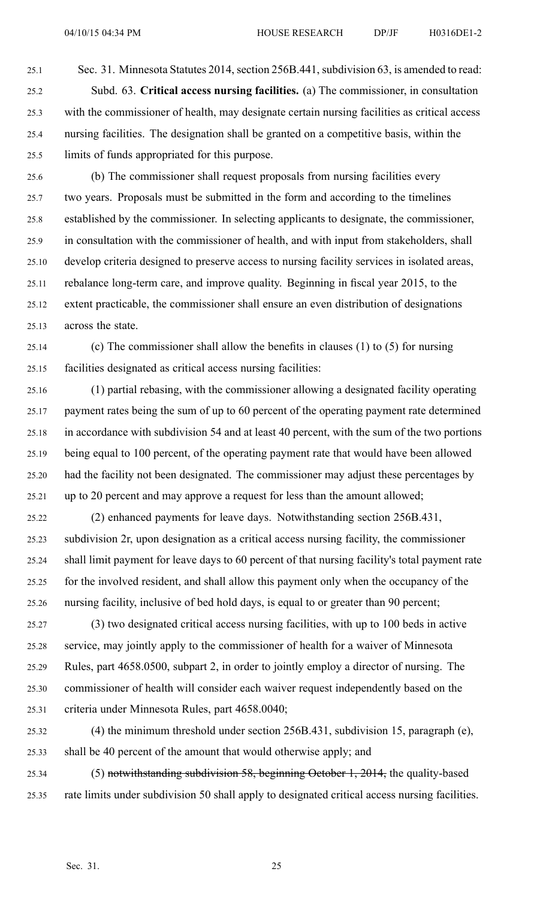25.1 Sec. 31. Minnesota Statutes 2014, section 256B.441, subdivision 63, is amended to read: 25.2 Subd. 63. **Critical access nursing facilities.** (a) The commissioner, in consultation 25.3 with the commissioner of health, may designate certain nursing facilities as critical access 25.4 nursing facilities. The designation shall be granted on <sup>a</sup> competitive basis, within the 25.5 limits of funds appropriated for this purpose.

25.6 (b) The commissioner shall reques<sup>t</sup> proposals from nursing facilities every 25.7 two years. Proposals must be submitted in the form and according to the timelines 25.8 established by the commissioner. In selecting applicants to designate, the commissioner, 25.9 in consultation with the commissioner of health, and with input from stakeholders, shall 25.10 develop criteria designed to preserve access to nursing facility services in isolated areas, 25.11 rebalance long-term care, and improve quality. Beginning in fiscal year 2015, to the 25.12 extent practicable, the commissioner shall ensure an even distribution of designations 25.13 across the state.

- 25.14 (c) The commissioner shall allow the benefits in clauses (1) to (5) for nursing 25.15 facilities designated as critical access nursing facilities:
- 25.16 (1) partial rebasing, with the commissioner allowing <sup>a</sup> designated facility operating 25.17 paymen<sup>t</sup> rates being the sum of up to 60 percen<sup>t</sup> of the operating paymen<sup>t</sup> rate determined 25.18 in accordance with subdivision 54 and at least 40 percent, with the sum of the two portions 25.19 being equal to 100 percent, of the operating paymen<sup>t</sup> rate that would have been allowed 25.20 had the facility not been designated. The commissioner may adjust these percentages by 25.21 up to 20 percen<sup>t</sup> and may approve <sup>a</sup> reques<sup>t</sup> for less than the amount allowed;
- 25.22 (2) enhanced payments for leave days. Notwithstanding section 256B.431, 25.23 subdivision 2r, upon designation as <sup>a</sup> critical access nursing facility, the commissioner 25.24 shall limit paymen<sup>t</sup> for leave days to 60 percen<sup>t</sup> of that nursing facility's total paymen<sup>t</sup> rate 25.25 for the involved resident, and shall allow this paymen<sup>t</sup> only when the occupancy of the 25.26 nursing facility, inclusive of bed hold days, is equal to or greater than 90 percent;
- 25.27 (3) two designated critical access nursing facilities, with up to 100 beds in active 25.28 service, may jointly apply to the commissioner of health for <sup>a</sup> waiver of Minnesota 25.29 Rules, par<sup>t</sup> 4658.0500, subpart 2, in order to jointly employ <sup>a</sup> director of nursing. The 25.30 commissioner of health will consider each waiver reques<sup>t</sup> independently based on the 25.31 criteria under Minnesota Rules, par<sup>t</sup> 4658.0040;
- 25.32 (4) the minimum threshold under section 256B.431, subdivision 15, paragraph (e), 25.33 shall be 40 percen<sup>t</sup> of the amount that would otherwise apply; and
- 25.34 (5) notwithstanding subdivision 58, beginning October 1, 2014, the quality-based 25.35 rate limits under subdivision 50 shall apply to designated critical access nursing facilities.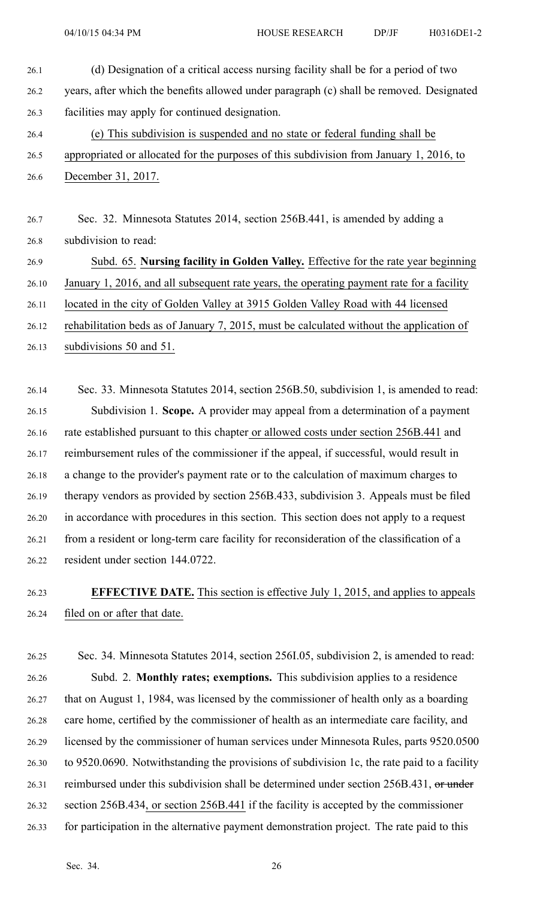- 26.1 (d) Designation of <sup>a</sup> critical access nursing facility shall be for <sup>a</sup> period of two 26.2 years, after which the benefits allowed under paragraph (c) shall be removed. Designated 26.3 facilities may apply for continued designation. 26.4 (e) This subdivision is suspended and no state or federal funding shall be 26.5 appropriated or allocated for the purposes of this subdivision from January 1, 2016, to
- 26.6 December 31, 2017.
- 26.7 Sec. 32. Minnesota Statutes 2014, section 256B.441, is amended by adding <sup>a</sup> 26.8 subdivision to read:
- 26.9 Subd. 65. **Nursing facility in Golden Valley.** Effective for the rate year beginning
- 26.10 January 1, 2016, and all subsequent rate years, the operating paymen<sup>t</sup> rate for <sup>a</sup> facility
- 26.11 located in the city of Golden Valley at 3915 Golden Valley Road with 44 licensed
- 26.12 rehabilitation beds as of January 7, 2015, must be calculated without the application of
- 26.13 subdivisions 50 and 51.

26.14 Sec. 33. Minnesota Statutes 2014, section 256B.50, subdivision 1, is amended to read: 26.15 Subdivision 1. **Scope.** A provider may appeal from <sup>a</sup> determination of <sup>a</sup> paymen<sup>t</sup> 26.16 rate established pursuan<sup>t</sup> to this chapter or allowed costs under section 256B.441 and 26.17 reimbursement rules of the commissioner if the appeal, if successful, would result in 26.18 <sup>a</sup> change to the provider's paymen<sup>t</sup> rate or to the calculation of maximum charges to 26.19 therapy vendors as provided by section 256B.433, subdivision 3. Appeals must be filed 26.20 in accordance with procedures in this section. This section does not apply to <sup>a</sup> reques<sup>t</sup> 26.21 from <sup>a</sup> resident or long-term care facility for reconsideration of the classification of <sup>a</sup> 26.22 resident under section 144.0722.

- 26.23 **EFFECTIVE DATE.** This section is effective July 1, 2015, and applies to appeals 26.24 filed on or after that date.
- 26.25 Sec. 34. Minnesota Statutes 2014, section 256I.05, subdivision 2, is amended to read: 26.26 Subd. 2. **Monthly rates; exemptions.** This subdivision applies to <sup>a</sup> residence 26.27 that on August 1, 1984, was licensed by the commissioner of health only as <sup>a</sup> boarding 26.28 care home, certified by the commissioner of health as an intermediate care facility, and 26.29 licensed by the commissioner of human services under Minnesota Rules, parts 9520.0500 26.30 to 9520.0690. Notwithstanding the provisions of subdivision 1c, the rate paid to <sup>a</sup> facility 26.31 reimbursed under this subdivision shall be determined under section 256B.431, or under 26.32 section 256B.434, or section 256B.441 if the facility is accepted by the commissioner 26.33 for participation in the alternative paymen<sup>t</sup> demonstration project. The rate paid to this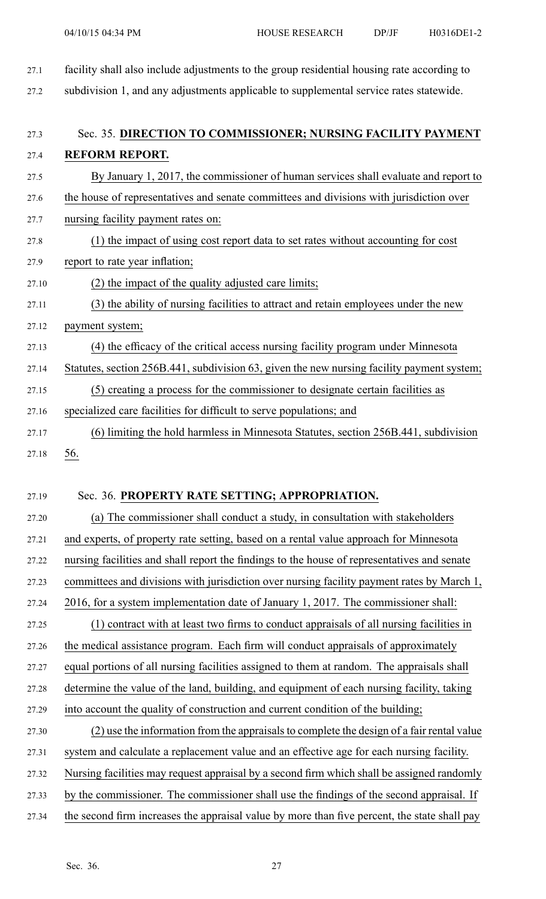27.1 facility shall also include adjustments to the group residential housing rate according to 27.2 subdivision 1, and any adjustments applicable to supplemental service rates statewide. 27.3 Sec. 35. **DIRECTION TO COMMISSIONER; NURSING FACILITY PAYMENT** 27.4 **REFORM REPORT.** 27.5 By January 1, 2017, the commissioner of human services shall evaluate and repor<sup>t</sup> to 27.6 the house of representatives and senate committees and divisions with jurisdiction over 27.7 nursing facility payment rates on: 27.8 (1) the impact of using cost repor<sup>t</sup> data to set rates without accounting for cost 27.9 repor<sup>t</sup> to rate year inflation; 27.10 (2) the impact of the quality adjusted care limits; 27.11 (3) the ability of nursing facilities to attract and retain employees under the new 27.12 payment system; 27.13 (4) the efficacy of the critical access nursing facility program under Minnesota 27.14 Statutes, section 256B.441, subdivision 63, given the new nursing facility paymen<sup>t</sup> system; 27.15 (5) creating <sup>a</sup> process for the commissioner to designate certain facilities as 27.16 specialized care facilities for difficult to serve populations; and 27.17 (6) limiting the hold harmless in Minnesota Statutes, section 256B.441, subdivision 27.18 56.

# 27.19 Sec. 36. **PROPERTY RATE SETTING; APPROPRIATION.**

27.20 (a) The commissioner shall conduct <sup>a</sup> study, in consultation with stakeholders 27.21 and experts, of property rate setting, based on <sup>a</sup> rental value approach for Minnesota 27.22 nursing facilities and shall repor<sup>t</sup> the findings to the house of representatives and senate 27.23 committees and divisions with jurisdiction over nursing facility paymen<sup>t</sup> rates by March 1, 27.24 2016, for <sup>a</sup> system implementation date of January 1, 2017. The commissioner shall: 27.25 (1) contract with at least two firms to conduct appraisals of all nursing facilities in 27.26 the medical assistance program. Each firm will conduct appraisals of approximately 27.27 equal portions of all nursing facilities assigned to them at random. The appraisals shall 27.28 determine the value of the land, building, and equipment of each nursing facility, taking 27.29 into account the quality of construction and current condition of the building; 27.30 (2) use the information from the appraisalsto complete the design of <sup>a</sup> fair rental value 27.31 system and calculate <sup>a</sup> replacement value and an effective age for each nursing facility. 27.32 Nursing facilities may reques<sup>t</sup> appraisal by <sup>a</sup> second firm which shall be assigned randomly 27.33 by the commissioner. The commissioner shall use the findings of the second appraisal. If 27.34 the second firm increases the appraisal value by more than five percent, the state shall pay